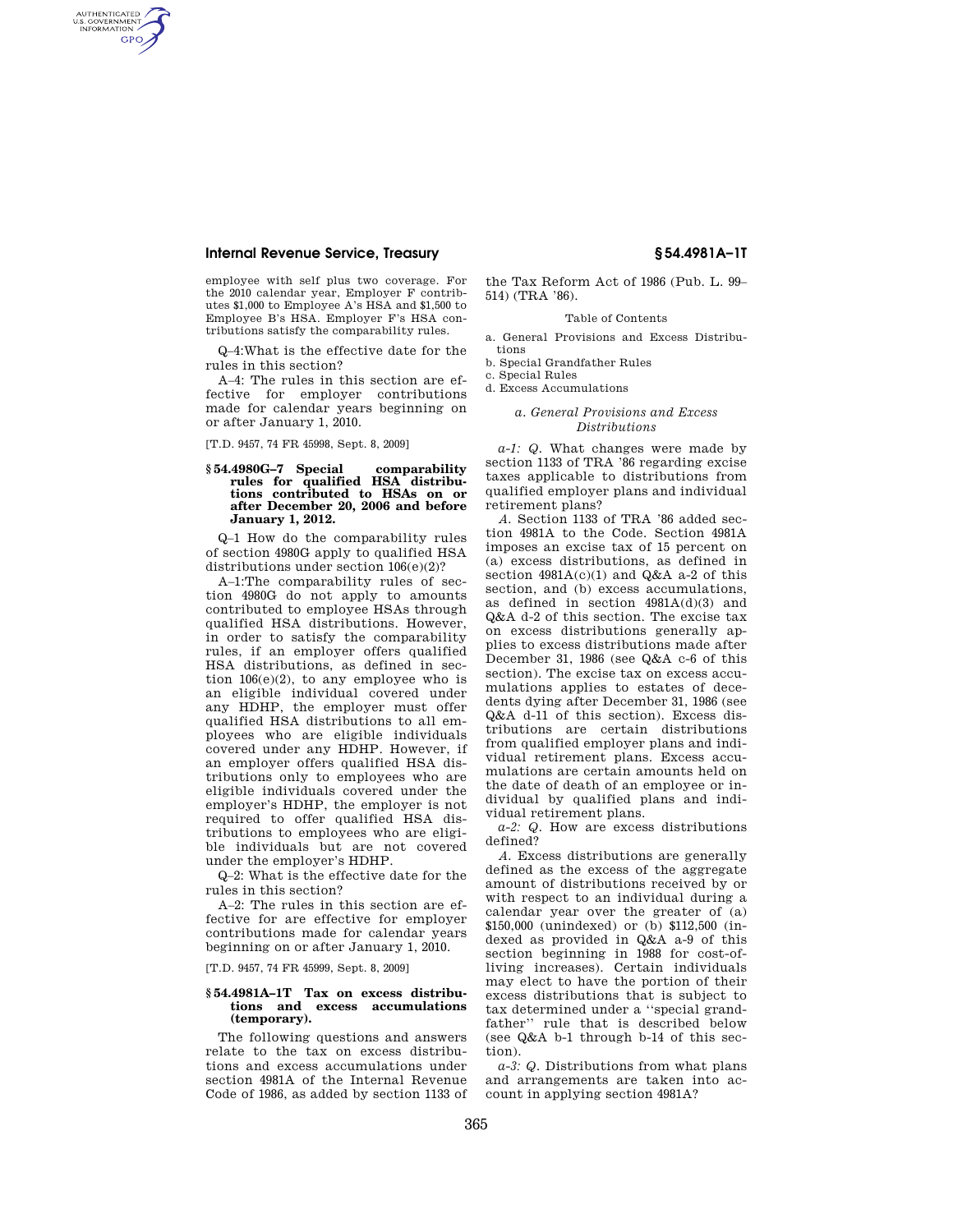AUTHENTICATED<br>U.S. GOVERNMENT<br>INFORMATION **GPO** 

> employee with self plus two coverage. For the 2010 calendar year, Employer F contributes \$1,000 to Employee A's HSA and \$1,500 to Employee B's HSA. Employer F's HSA contributions satisfy the comparability rules.

> Q–4:What is the effective date for the rules in this section?

A–4: The rules in this section are effective for employer contributions made for calendar years beginning on or after January 1, 2010.

[T.D. 9457, 74 FR 45998, Sept. 8, 2009]

#### **§ 54.4980G–7 Special comparability rules for qualified HSA distributions contributed to HSAs on or after December 20, 2006 and before January 1, 2012.**

Q–1 How do the comparability rules of section 4980G apply to qualified HSA distributions under section 106(e)(2)?

A–1:The comparability rules of section 4980G do not apply to amounts contributed to employee HSAs through qualified HSA distributions. However, in order to satisfy the comparability rules, if an employer offers qualified HSA distributions, as defined in section  $106(e)(2)$ , to any employee who is an eligible individual covered under any HDHP, the employer must offer qualified HSA distributions to all employees who are eligible individuals covered under any HDHP. However, if an employer offers qualified HSA distributions only to employees who are eligible individuals covered under the employer's HDHP, the employer is not required to offer qualified HSA distributions to employees who are eligible individuals but are not covered under the employer's HDHP.

Q–2: What is the effective date for the rules in this section?

 $A=2$ <sup> $\cdot$ </sup> The rules in this section are effective for are effective for employer contributions made for calendar years beginning on or after January 1, 2010.

[T.D. 9457, 74 FR 45999, Sept. 8, 2009]

#### **§ 54.4981A–1T Tax on excess distributions and excess accumulations (temporary).**

The following questions and answers relate to the tax on excess distributions and excess accumulations under section 4981A of the Internal Revenue Code of 1986, as added by section 1133 of

the Tax Reform Act of 1986 (Pub. L. 99– 514) (TRA '86).

#### Table of Contents

- a. General Provisions and Excess Distributions
- b. Special Grandfather Rules
- c. Special Rules

d. Excess Accumulations

#### *a. General Provisions and Excess Distributions*

*a-1: Q.* What changes were made by section 1133 of TRA '86 regarding excise taxes applicable to distributions from qualified employer plans and individual retirement plans?

*A.* Section 1133 of TRA '86 added section 4981A to the Code. Section 4981A imposes an excise tax of 15 percent on (a) excess distributions, as defined in section  $4981A(c)(1)$  and  $Q&A$  a-2 of this section, and (b) excess accumulations, as defined in section 4981A(d)(3) and Q&A d-2 of this section. The excise tax on excess distributions generally applies to excess distributions made after December 31, 1986 (see Q&A c-6 of this section). The excise tax on excess accumulations applies to estates of decedents dying after December 31, 1986 (see Q&A d-11 of this section). Excess distributions are certain distributions from qualified employer plans and individual retirement plans. Excess accumulations are certain amounts held on the date of death of an employee or individual by qualified plans and individual retirement plans.

*a-2: Q.* How are excess distributions defined?

*A.* Excess distributions are generally defined as the excess of the aggregate amount of distributions received by or with respect to an individual during a calendar year over the greater of (a) \$150,000 (unindexed) or (b) \$112,500 (indexed as provided in Q&A a-9 of this section beginning in 1988 for cost-ofliving increases). Certain individuals may elect to have the portion of their excess distributions that is subject to tax determined under a ''special grandfather'' rule that is described below (see Q&A b-1 through b-14 of this section).

*a-3: Q.* Distributions from what plans and arrangements are taken into account in applying section 4981A?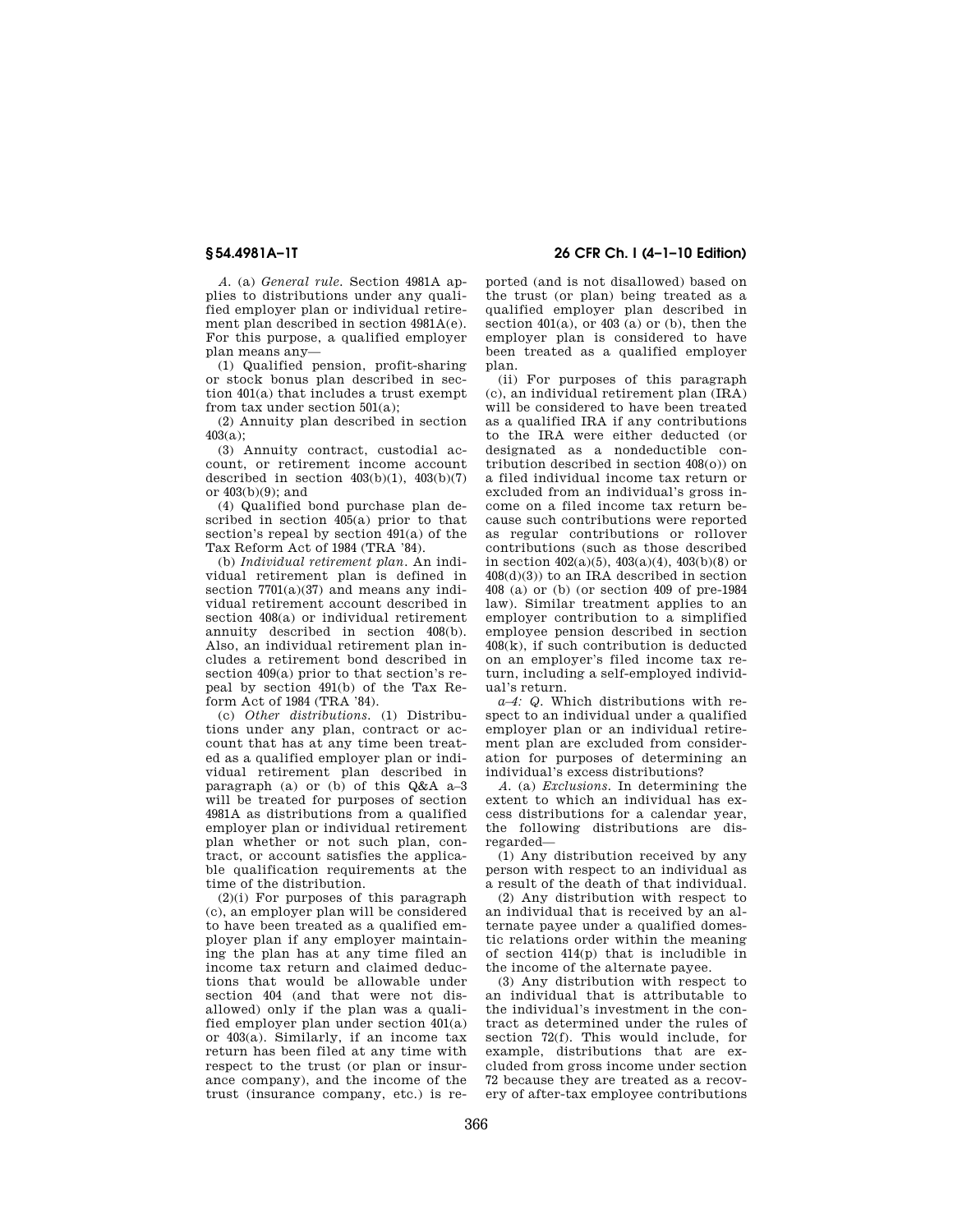*A.* (a) *General rule.* Section 4981A applies to distributions under any qualified employer plan or individual retirement plan described in section 4981A(e). For this purpose, a qualified employer plan means any—

(1) Qualified pension, profit-sharing or stock bonus plan described in section 401(a) that includes a trust exempt from tax under section 501(a);

(2) Annuity plan described in section  $403(a)$ :

(3) Annuity contract, custodial account, or retirement income account described in section  $403(b)(1)$ ,  $403(b)(7)$ or 403(b)(9); and

(4) Qualified bond purchase plan described in section 405(a) prior to that section's repeal by section 491(a) of the Tax Reform Act of 1984 (TRA '84).

(b) *Individual retirement plan.* An individual retirement plan is defined in section  $7701(a)(37)$  and means any individual retirement account described in section 408(a) or individual retirement annuity described in section 408(b). Also, an individual retirement plan includes a retirement bond described in section 409(a) prior to that section's repeal by section 491(b) of the Tax Reform Act of 1984 (TRA '84).

(c) *Other distributions.* (1) Distributions under any plan, contract or account that has at any time been treated as a qualified employer plan or individual retirement plan described in paragraph (a) or (b) of this  $Q\&A$  a–3 will be treated for purposes of section 4981A as distributions from a qualified employer plan or individual retirement plan whether or not such plan, contract, or account satisfies the applicable qualification requirements at the time of the distribution.

 $(2)(i)$  For purposes of this paragraph (c), an employer plan will be considered to have been treated as a qualified employer plan if any employer maintaining the plan has at any time filed an income tax return and claimed deductions that would be allowable under section 404 (and that were not disallowed) only if the plan was a qualified employer plan under section 401(a) or 403(a). Similarly, if an income tax return has been filed at any time with respect to the trust (or plan or insurance company), and the income of the trust (insurance company, etc.) is re-

# **§ 54.4981A–1T 26 CFR Ch. I (4–1–10 Edition)**

ported (and is not disallowed) based on the trust (or plan) being treated as a qualified employer plan described in section  $401(a)$ , or  $403(a)$  or (b), then the employer plan is considered to have been treated as a qualified employer plan.

(ii) For purposes of this paragraph (c), an individual retirement plan (IRA) will be considered to have been treated as a qualified IRA if any contributions to the IRA were either deducted (or designated as a nondeductible contribution described in section 408(o)) on a filed individual income tax return or excluded from an individual's gross income on a filed income tax return because such contributions were reported as regular contributions or rollover contributions (such as those described in section  $402(a)(5)$ ,  $403(a)(4)$ ,  $403(b)(8)$  or  $408(d)(3)$  to an IRA described in section 408 (a) or (b) (or section 409 of pre-1984 law). Similar treatment applies to an employer contribution to a simplified employee pension described in section 408(k), if such contribution is deducted on an employer's filed income tax return, including a self-employed individual's return.

*a–4: Q.* Which distributions with respect to an individual under a qualified employer plan or an individual retirement plan are excluded from consideration for purposes of determining an individual's excess distributions?

*A.* (a) *Exclusions.* In determining the extent to which an individual has excess distributions for a calendar year, the following distributions are disregarded—

(1) Any distribution received by any person with respect to an individual as a result of the death of that individual.

(2) Any distribution with respect to an individual that is received by an alternate payee under a qualified domestic relations order within the meaning of section 414(p) that is includible in the income of the alternate payee.

(3) Any distribution with respect to an individual that is attributable to the individual's investment in the contract as determined under the rules of section 72(f). This would include, for example, distributions that are excluded from gross income under section 72 because they are treated as a recovery of after-tax employee contributions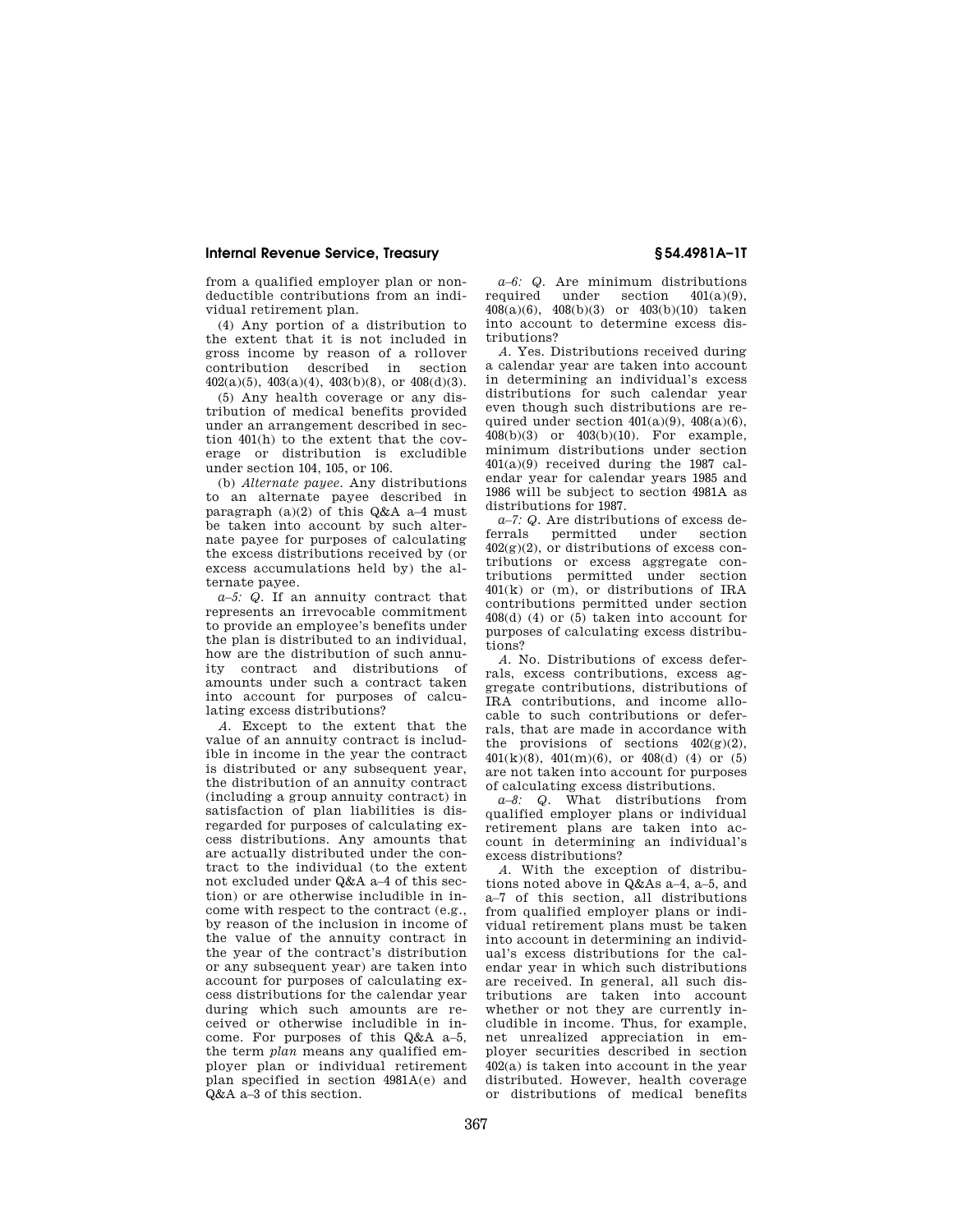from a qualified employer plan or nondeductible contributions from an individual retirement plan.

(4) Any portion of a distribution to the extent that it is not included in gross income by reason of a rollover contribution described in section  $402(a)(5)$ ,  $403(a)(4)$ ,  $403(b)(8)$ , or  $408(d)(3)$ .

(5) Any health coverage or any distribution of medical benefits provided under an arrangement described in section 401(h) to the extent that the coverage or distribution is excludible under section 104, 105, or 106.

(b) *Alternate payee.* Any distributions to an alternate payee described in paragraph (a)(2) of this Q&A a–4 must be taken into account by such alternate payee for purposes of calculating the excess distributions received by (or excess accumulations held by) the alternate payee.

*a–5: Q.* If an annuity contract that represents an irrevocable commitment to provide an employee's benefits under the plan is distributed to an individual, how are the distribution of such annuity contract and distributions of amounts under such a contract taken into account for purposes of calculating excess distributions?

*A.* Except to the extent that the value of an annuity contract is includible in income in the year the contract is distributed or any subsequent year, the distribution of an annuity contract (including a group annuity contract) in satisfaction of plan liabilities is disregarded for purposes of calculating excess distributions. Any amounts that are actually distributed under the contract to the individual (to the extent not excluded under Q&A a–4 of this section) or are otherwise includible in income with respect to the contract (e.g., by reason of the inclusion in income of the value of the annuity contract in the year of the contract's distribution or any subsequent year) are taken into account for purposes of calculating excess distributions for the calendar year during which such amounts are received or otherwise includible in income. For purposes of this Q&A a–5, the term *plan* means any qualified employer plan or individual retirement plan specified in section 4981A(e) and Q&A a–3 of this section.

*a–6: Q.* Are minimum distributions required under section  $401(a)(9)$ , 408(a)(6), 408(b)(3) or 403(b)(10) taken into account to determine excess distributions?

*A.* Yes. Distributions received during a calendar year are taken into account in determining an individual's excess distributions for such calendar year even though such distributions are required under section  $401(a)(9)$ ,  $408(a)(6)$ , 408(b)(3) or 403(b)(10). For example, minimum distributions under section 401(a)(9) received during the 1987 calendar year for calendar years 1985 and 1986 will be subject to section 4981A as distributions for 1987.

*a–7: Q.* Are distributions of excess de-<br>rrals permitted under section ferrals permitted under section  $402<sub>(g)</sub>(2)$ , or distributions of excess contributions or excess aggregate contributions permitted under section  $401(k)$  or (m), or distributions of IRA contributions permitted under section  $408(d)$  (4) or (5) taken into account for purposes of calculating excess distributions?

*A.* No. Distributions of excess deferrals, excess contributions, excess aggregate contributions, distributions of IRA contributions, and income allocable to such contributions or deferrals, that are made in accordance with the provisions of sections  $402(g)(2)$ ,  $401(k)(8)$ ,  $401(m)(6)$ , or  $408(d)$  (4) or (5) are not taken into account for purposes of calculating excess distributions.

*a–8: Q.* What distributions from qualified employer plans or individual retirement plans are taken into account in determining an individual's excess distributions?

*A.* With the exception of distributions noted above in Q&As a–4, a–5, and a–7 of this section, all distributions from qualified employer plans or individual retirement plans must be taken into account in determining an individual's excess distributions for the calendar year in which such distributions are received. In general, all such distributions are taken into account whether or not they are currently includible in income. Thus, for example, net unrealized appreciation in employer securities described in section 402(a) is taken into account in the year distributed. However, health coverage or distributions of medical benefits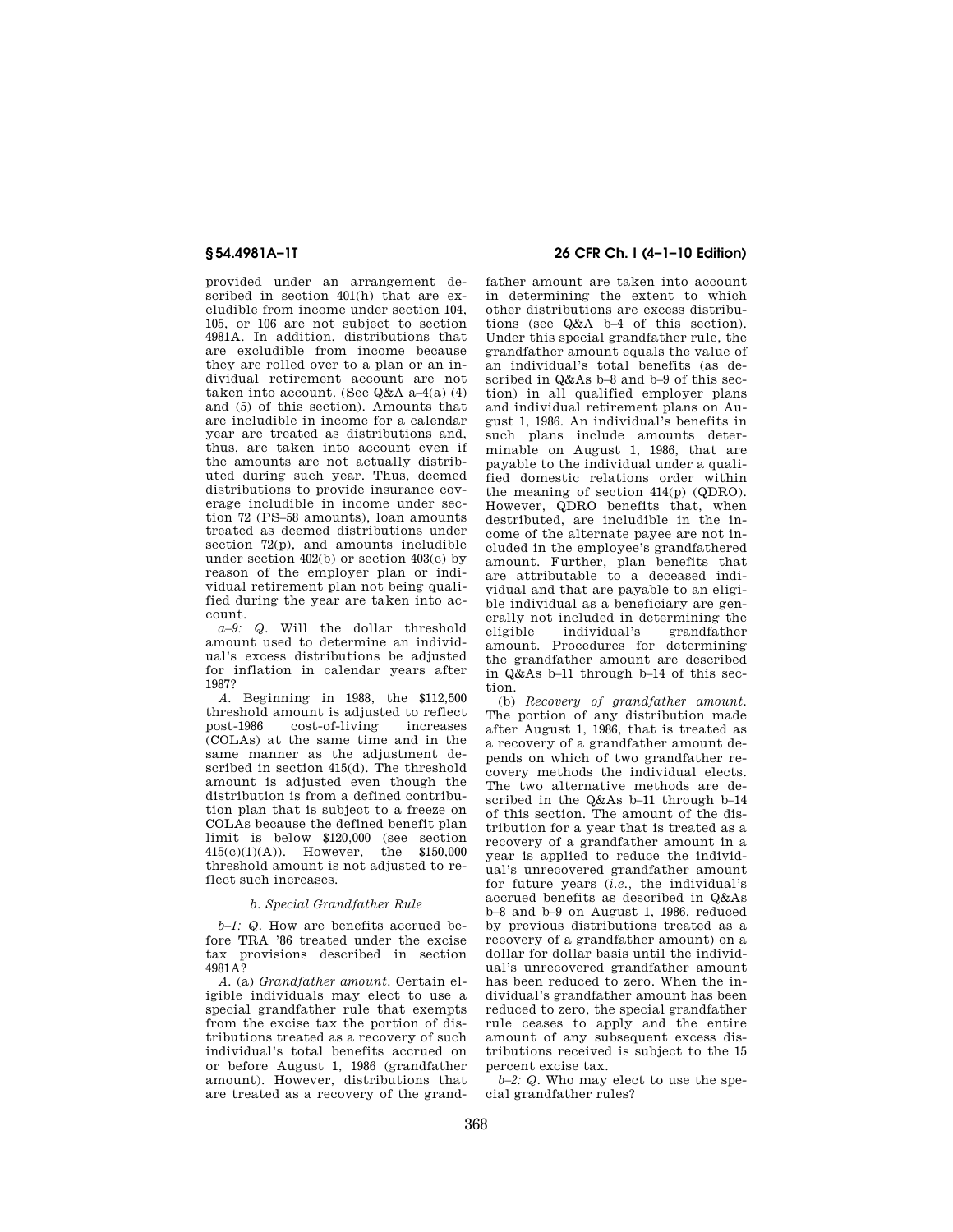provided under an arrangement described in section 401(h) that are excludible from income under section 104, 105, or 106 are not subject to section 4981A. In addition, distributions that are excludible from income because they are rolled over to a plan or an individual retirement account are not taken into account. (See  $Q&AA$  a-4(a) (4) and (5) of this section). Amounts that are includible in income for a calendar year are treated as distributions and, thus, are taken into account even if the amounts are not actually distributed during such year. Thus, deemed distributions to provide insurance coverage includible in income under section 72 (PS–58 amounts), loan amounts treated as deemed distributions under section 72(p), and amounts includible under section 402(b) or section 403(c) by reason of the employer plan or individual retirement plan not being qualified during the year are taken into account.

*a–9: Q.* Will the dollar threshold amount used to determine an individual's excess distributions be adjusted for inflation in calendar years after 1987?

*A.* Beginning in 1988, the \$112,500 threshold amount is adjusted to reflect<br>post-1986 cost-of-living increases cost-of-living (COLAs) at the same time and in the same manner as the adjustment described in section 415(d). The threshold amount is adjusted even though the distribution is from a defined contribution plan that is subject to a freeze on COLAs because the defined benefit plan limit is below \$120,000 (see section 415(c)(1)(A)). However, the \$150,000 threshold amount is not adjusted to reflect such increases.

### *b. Special Grandfather Rule*

*b-1: Q.* How are benefits accrued before TRA '86 treated under the excise tax provisions described in section 4981A?

*A.* (a) *Grandfather amount.* Certain eligible individuals may elect to use a special grandfather rule that exempts from the excise tax the portion of distributions treated as a recovery of such individual's total benefits accrued on or before August 1, 1986 (grandfather amount). However, distributions that are treated as a recovery of the grand-

## **§ 54.4981A–1T 26 CFR Ch. I (4–1–10 Edition)**

father amount are taken into account in determining the extent to which other distributions are excess distributions (see Q&A b–4 of this section). Under this special grandfather rule, the grandfather amount equals the value of an individual's total benefits (as described in Q&As b–8 and b–9 of this section) in all qualified employer plans and individual retirement plans on August 1, 1986. An individual's benefits in such plans include amounts determinable on August 1, 1986, that are payable to the individual under a qualified domestic relations order within the meaning of section 414(p) (QDRO). However, QDRO benefits that, when destributed, are includible in the income of the alternate payee are not included in the employee's grandfathered amount. Further, plan benefits that are attributable to a deceased individual and that are payable to an eligible individual as a beneficiary are generally not included in determining the<br>eligible individual's grandfather individual's amount. Procedures for determining the grandfather amount are described in Q&As b–11 through b–14 of this section.

(b) *Recovery of grandfather amount.*  The portion of any distribution made after August 1, 1986, that is treated as a recovery of a grandfather amount depends on which of two grandfather recovery methods the individual elects. The two alternative methods are described in the Q&As b–11 through b–14 of this section. The amount of the distribution for a year that is treated as a recovery of a grandfather amount in a year is applied to reduce the individual's unrecovered grandfather amount for future years (*i.e.,* the individual's accrued benefits as described in Q&As b–8 and b–9 on August 1, 1986, reduced by previous distributions treated as a recovery of a grandfather amount) on a dollar for dollar basis until the individual's unrecovered grandfather amount has been reduced to zero. When the individual's grandfather amount has been reduced to zero, the special grandfather rule ceases to apply and the entire amount of any subsequent excess distributions received is subject to the 15 percent excise tax.

*b–2: Q.* Who may elect to use the special grandfather rules?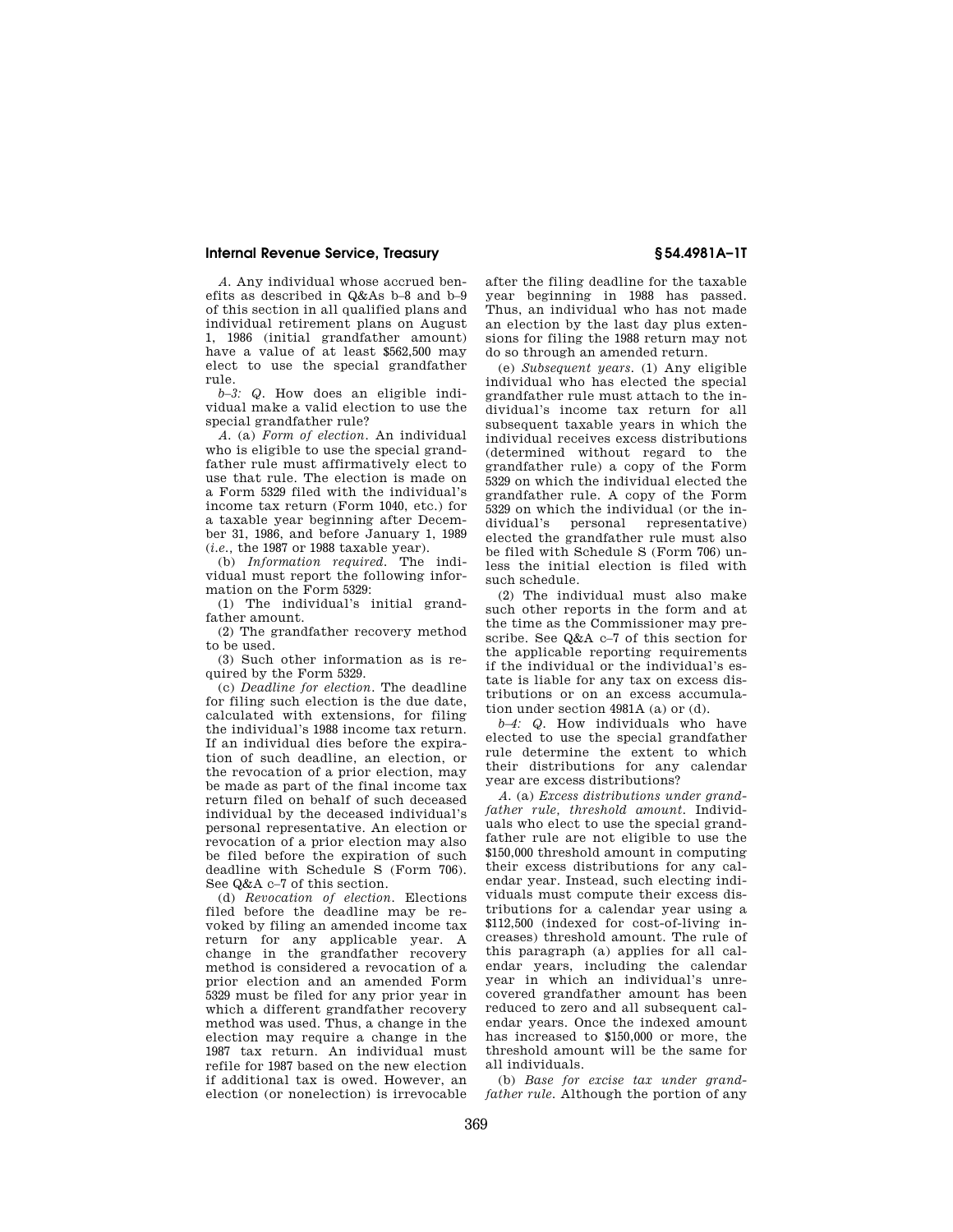*A.* Any individual whose accrued benefits as described in Q&As b–8 and b–9 of this section in all qualified plans and individual retirement plans on August 1, 1986 (initial grandfather amount) have a value of at least \$562,500 may elect to use the special grandfather rule.

*b–3: Q.* How does an eligible individual make a valid election to use the special grandfather rule?

*A.* (a) *Form of election.* An individual who is eligible to use the special grandfather rule must affirmatively elect to use that rule. The election is made on a Form 5329 filed with the individual's income tax return (Form 1040, etc.) for a taxable year beginning after December 31, 1986, and before January 1, 1989 (*i.e.,* the 1987 or 1988 taxable year).

(b) *Information required.* The individual must report the following information on the Form 5329:

(1) The individual's initial grandfather amount.

(2) The grandfather recovery method to be used.

(3) Such other information as is required by the Form 5329.

(c) *Deadline for election.* The deadline for filing such election is the due date, calculated with extensions, for filing the individual's 1988 income tax return. If an individual dies before the expiration of such deadline, an election, or the revocation of a prior election, may be made as part of the final income tax return filed on behalf of such deceased individual by the deceased individual's personal representative. An election or revocation of a prior election may also be filed before the expiration of such deadline with Schedule S (Form 706). See Q&A c–7 of this section.

(d) *Revocation of election.* Elections filed before the deadline may be revoked by filing an amended income tax return for any applicable year. A change in the grandfather recovery method is considered a revocation of a prior election and an amended Form 5329 must be filed for any prior year in which a different grandfather recovery method was used. Thus, a change in the election may require a change in the 1987 tax return. An individual must refile for 1987 based on the new election if additional tax is owed. However, an election (or nonelection) is irrevocable

after the filing deadline for the taxable year beginning in 1988 has passed. Thus, an individual who has not made an election by the last day plus extensions for filing the 1988 return may not do so through an amended return.

(e) *Subsequent years.* (1) Any eligible individual who has elected the special grandfather rule must attach to the individual's income tax return for all subsequent taxable years in which the individual receives excess distributions (determined without regard to the grandfather rule) a copy of the Form 5329 on which the individual elected the grandfather rule. A copy of the Form 5329 on which the individual (or the individual's personal representative) elected the grandfather rule must also be filed with Schedule S (Form 706) unless the initial election is filed with such schedule.

(2) The individual must also make such other reports in the form and at the time as the Commissioner may prescribe. See Q&A c–7 of this section for the applicable reporting requirements if the individual or the individual's estate is liable for any tax on excess distributions or on an excess accumulation under section 4981A (a) or (d).

*b–4: Q.* How individuals who have elected to use the special grandfather rule determine the extent to which their distributions for any calendar year are excess distributions?

*A.* (a) *Excess distributions under grandfather rule, threshold amount.* Individuals who elect to use the special grandfather rule are not eligible to use the \$150,000 threshold amount in computing their excess distributions for any calendar year. Instead, such electing individuals must compute their excess distributions for a calendar year using a \$112,500 (indexed for cost-of-living increases) threshold amount. The rule of this paragraph (a) applies for all calendar years, including the calendar year in which an individual's unrecovered grandfather amount has been reduced to zero and all subsequent calendar years. Once the indexed amount has increased to \$150,000 or more, the threshold amount will be the same for all individuals.

(b) *Base for excise tax under grandfather rule.* Although the portion of any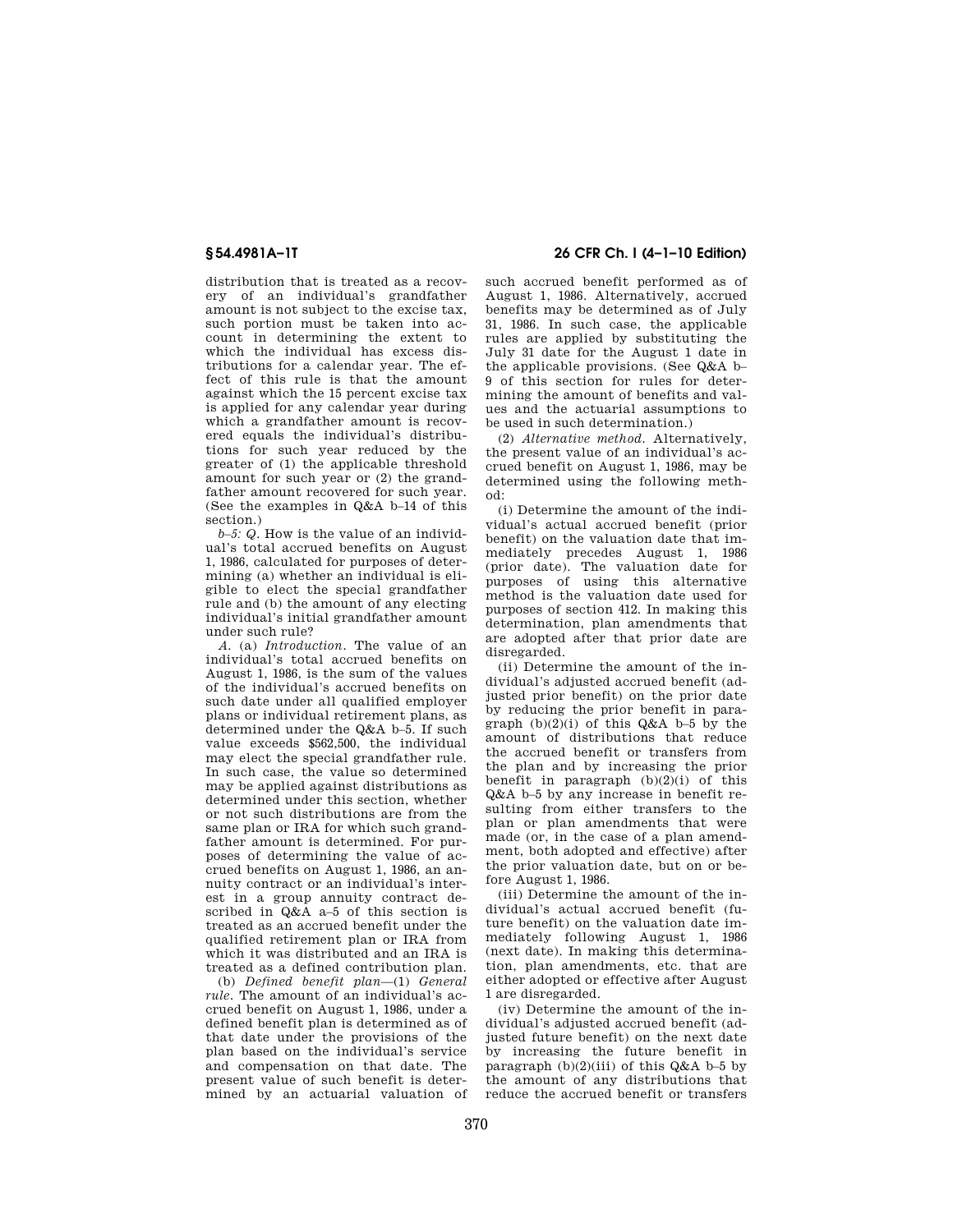distribution that is treated as a recovery of an individual's grandfather amount is not subject to the excise tax, such portion must be taken into account in determining the extent to which the individual has excess distributions for a calendar year. The effect of this rule is that the amount against which the 15 percent excise tax is applied for any calendar year during which a grandfather amount is recovered equals the individual's distributions for such year reduced by the greater of (1) the applicable threshold amount for such year or (2) the grandfather amount recovered for such year. (See the examples in Q&A b–14 of this section.)

*b–5: Q.* How is the value of an individual's total accrued benefits on August 1, 1986, calculated for purposes of determining (a) whether an individual is eligible to elect the special grandfather rule and (b) the amount of any electing individual's initial grandfather amount under such rule?

*A.* (a) *Introduction.* The value of an individual's total accrued benefits on August 1, 1986, is the sum of the values of the individual's accrued benefits on such date under all qualified employer plans or individual retirement plans, as determined under the Q&A b–5. If such value exceeds \$562,500, the individual may elect the special grandfather rule. In such case, the value so determined may be applied against distributions as determined under this section, whether or not such distributions are from the same plan or IRA for which such grandfather amount is determined. For purposes of determining the value of accrued benefits on August 1, 1986, an annuity contract or an individual's interest in a group annuity contract described in Q&A a–5 of this section is treated as an accrued benefit under the qualified retirement plan or IRA from which it was distributed and an IRA is treated as a defined contribution plan.

(b) *Defined benefit plan*—(1) *General rule.* The amount of an individual's accrued benefit on August 1, 1986, under a defined benefit plan is determined as of that date under the provisions of the plan based on the individual's service and compensation on that date. The present value of such benefit is determined by an actuarial valuation of

**§ 54.4981A–1T 26 CFR Ch. I (4–1–10 Edition)** 

such accrued benefit performed as of August 1, 1986. Alternatively, accrued benefits may be determined as of July 31, 1986. In such case, the applicable rules are applied by substituting the July 31 date for the August 1 date in the applicable provisions. (See Q&A b– 9 of this section for rules for determining the amount of benefits and values and the actuarial assumptions to be used in such determination.)

(2) *Alternative method.* Alternatively, the present value of an individual's accrued benefit on August 1, 1986, may be determined using the following method:

(i) Determine the amount of the individual's actual accrued benefit (prior benefit) on the valuation date that immediately precedes August 1, 1986 (prior date). The valuation date for purposes of using this alternative method is the valuation date used for purposes of section 412. In making this determination, plan amendments that are adopted after that prior date are disregarded.

(ii) Determine the amount of the individual's adjusted accrued benefit (adjusted prior benefit) on the prior date by reducing the prior benefit in paragraph  $(b)(2)(i)$  of this  $Q\&A$  b–5 by the amount of distributions that reduce the accrued benefit or transfers from the plan and by increasing the prior benefit in paragraph  $(b)(2)(i)$  of this Q&A b–5 by any increase in benefit resulting from either transfers to the plan or plan amendments that were made (or, in the case of a plan amendment, both adopted and effective) after the prior valuation date, but on or before August 1, 1986.

(iii) Determine the amount of the individual's actual accrued benefit (future benefit) on the valuation date immediately following August 1, 1986 (next date). In making this determination, plan amendments, etc. that are either adopted or effective after August 1 are disregarded.

(iv) Determine the amount of the individual's adjusted accrued benefit (adjusted future benefit) on the next date by increasing the future benefit in paragraph  $(b)(2)(iii)$  of this Q&A b–5 by the amount of any distributions that reduce the accrued benefit or transfers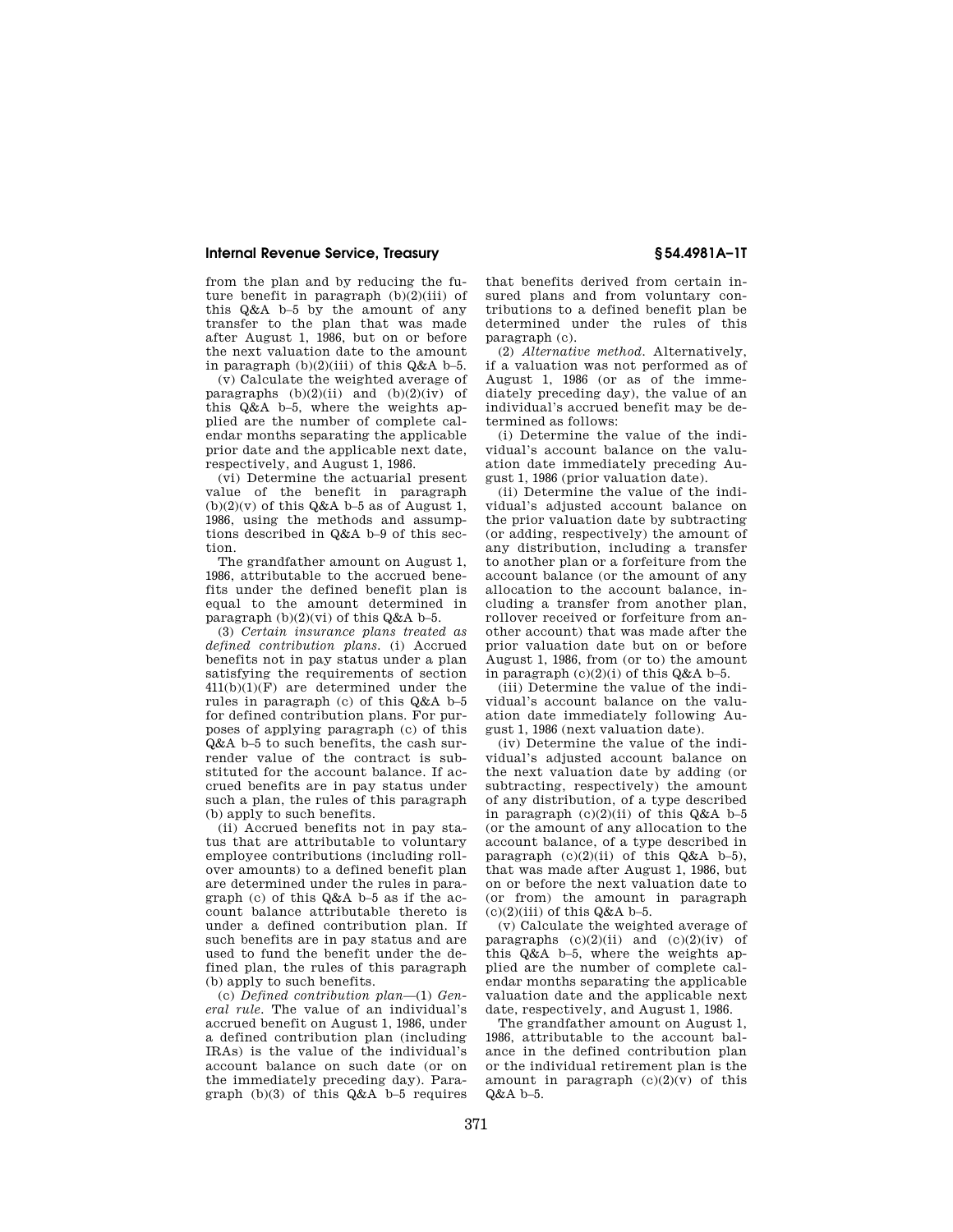from the plan and by reducing the future benefit in paragraph  $(b)(2)(iii)$  of this Q&A b–5 by the amount of any transfer to the plan that was made after August 1, 1986, but on or before the next valuation date to the amount in paragraph  $(b)(2)(iii)$  of this  $Q\&A$  b–5.

(v) Calculate the weighted average of paragraphs  $(b)(2)(ii)$  and  $(b)(2)(iv)$  of this Q&A b–5, where the weights applied are the number of complete calendar months separating the applicable prior date and the applicable next date, respectively, and August 1, 1986.

(vi) Determine the actuarial present value of the benefit in paragraph  $(b)(2)(v)$  of this Q&A b–5 as of August 1, 1986, using the methods and assumptions described in Q&A b–9 of this section.

The grandfather amount on August 1, 1986, attributable to the accrued benefits under the defined benefit plan is equal to the amount determined in paragraph  $(b)(2)(vi)$  of this Q&A b–5.

(3) *Certain insurance plans treated as defined contribution plans.* (i) Accrued benefits not in pay status under a plan satisfying the requirements of section 411(b)(1)(F) are determined under the rules in paragraph (c) of this Q&A b–5 for defined contribution plans. For purposes of applying paragraph (c) of this Q&A b–5 to such benefits, the cash surrender value of the contract is substituted for the account balance. If accrued benefits are in pay status under such a plan, the rules of this paragraph (b) apply to such benefits.

(ii) Accrued benefits not in pay status that are attributable to voluntary employee contributions (including rollover amounts) to a defined benefit plan are determined under the rules in paragraph (c) of this Q&A b–5 as if the account balance attributable thereto is under a defined contribution plan. If such benefits are in pay status and are used to fund the benefit under the defined plan, the rules of this paragraph (b) apply to such benefits.

(c) *Defined contribution plan*—(1) *General rule.* The value of an individual's accrued benefit on August 1, 1986, under a defined contribution plan (including IRAs) is the value of the individual's account balance on such date (or on the immediately preceding day). Paragraph  $(b)(3)$  of this  $Q&A$  b–5 requires

that benefits derived from certain insured plans and from voluntary contributions to a defined benefit plan be determined under the rules of this paragraph (c).

(2) *Alternative method.* Alternatively, if a valuation was not performed as of August 1, 1986 (or as of the immediately preceding day), the value of an individual's accrued benefit may be determined as follows:

(i) Determine the value of the individual's account balance on the valuation date immediately preceding August 1, 1986 (prior valuation date).

(ii) Determine the value of the individual's adjusted account balance on the prior valuation date by subtracting (or adding, respectively) the amount of any distribution, including a transfer to another plan or a forfeiture from the account balance (or the amount of any allocation to the account balance, including a transfer from another plan, rollover received or forfeiture from another account) that was made after the prior valuation date but on or before August 1, 1986, from (or to) the amount in paragraph  $(c)(2)(i)$  of this  $Q\&A$  b–5.

(iii) Determine the value of the individual's account balance on the valuation date immediately following August 1, 1986 (next valuation date).

(iv) Determine the value of the individual's adjusted account balance on the next valuation date by adding (or subtracting, respectively) the amount of any distribution, of a type described in paragraph  $(c)(2)(ii)$  of this  $Q\&A$  b-5 (or the amount of any allocation to the account balance, of a type described in paragraph  $(c)(2)(ii)$  of this  $Q&A$  b-5), that was made after August 1, 1986, but on or before the next valuation date to (or from) the amount in paragraph  $(c)(2)(iii)$  of this  $Q&A$  b-5.

(v) Calculate the weighted average of paragraphs  $(c)(2)(ii)$  and  $(c)(2)(iv)$  of this Q&A b–5, where the weights applied are the number of complete calendar months separating the applicable valuation date and the applicable next date, respectively, and August 1, 1986.

The grandfather amount on August 1, 1986, attributable to the account balance in the defined contribution plan or the individual retirement plan is the amount in paragraph  $(c)(2)(v)$  of this  $Q&A$   $h-5$ .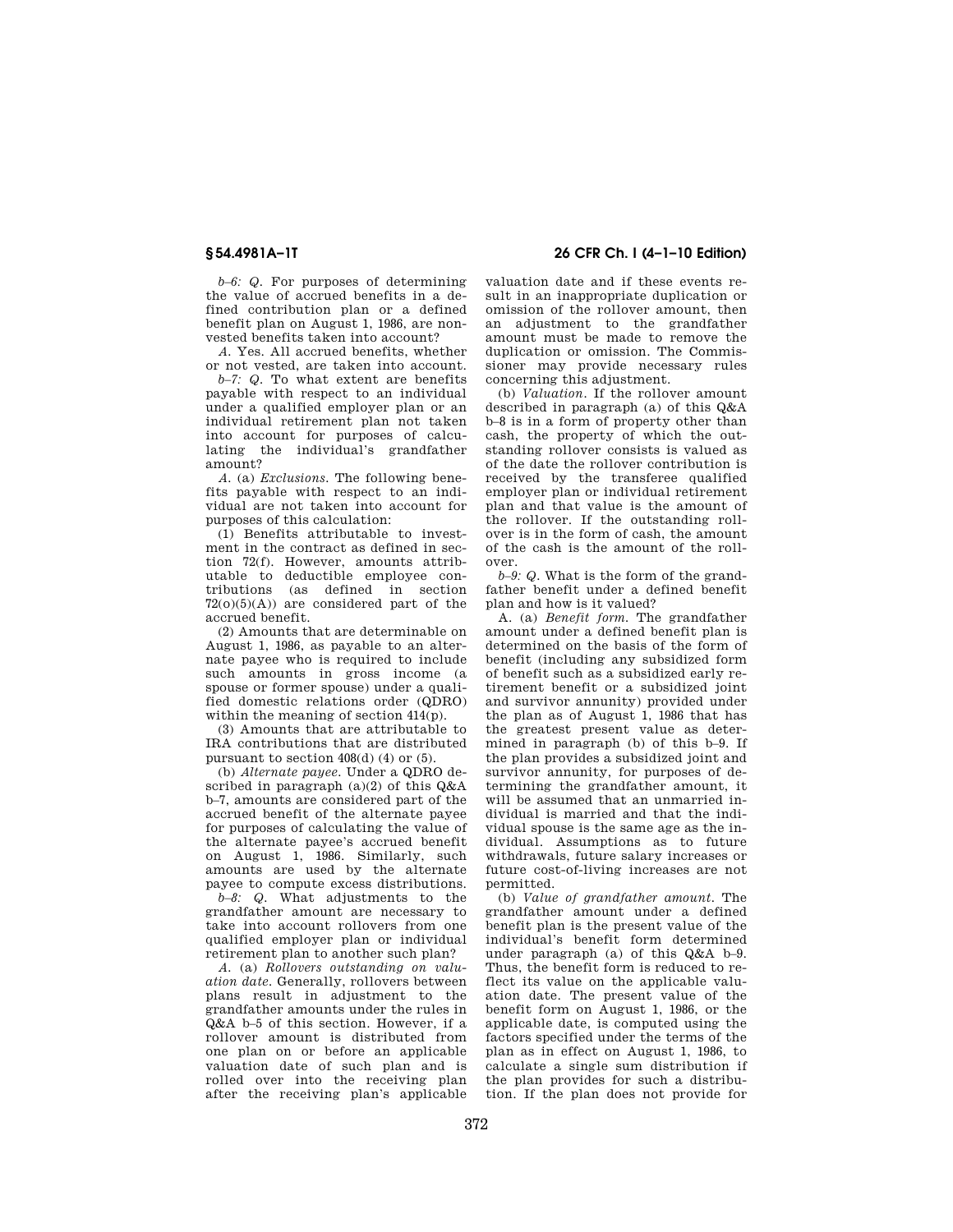*b–6: Q.* For purposes of determining the value of accrued benefits in a defined contribution plan or a defined benefit plan on August 1, 1986, are nonvested benefits taken into account?

*A.* Yes. All accrued benefits, whether or not vested, are taken into account.

*b–7: Q.* To what extent are benefits payable with respect to an individual under a qualified employer plan or an individual retirement plan not taken into account for purposes of calculating the individual's grandfather amount?

*A.* (a) *Exclusions.* The following benefits payable with respect to an individual are not taken into account for purposes of this calculation:

(1) Benefits attributable to investment in the contract as defined in section 72(f). However, amounts attributable to deductible employee contributions (as defined in section  $72(0)(5)(A)$  are considered part of the accrued benefit.

(2) Amounts that are determinable on August 1, 1986, as payable to an alternate payee who is required to include such amounts in gross income (a spouse or former spouse) under a qualified domestic relations order (QDRO) within the meaning of section 414(p).

(3) Amounts that are attributable to IRA contributions that are distributed pursuant to section 408(d) (4) or (5).

(b) *Alternate payee.* Under a QDRO described in paragraph  $(a)(2)$  of this  $Q\&A$ b–7, amounts are considered part of the accrued benefit of the alternate payee for purposes of calculating the value of the alternate payee's accrued benefit on August 1, 1986. Similarly, such amounts are used by the alternate payee to compute excess distributions.

*b–8: Q.* What adjustments to the grandfather amount are necessary to take into account rollovers from one qualified employer plan or individual retirement plan to another such plan?

*A.* (a) *Rollovers outstanding on valuation date.* Generally, rollovers between plans result in adjustment to the grandfather amounts under the rules in Q&A b–5 of this section. However, if a rollover amount is distributed from one plan on or before an applicable valuation date of such plan and is rolled over into the receiving plan after the receiving plan's applicable

# **§ 54.4981A–1T 26 CFR Ch. I (4–1–10 Edition)**

valuation date and if these events result in an inappropriate duplication or omission of the rollover amount, then an adjustment to the grandfather amount must be made to remove the duplication or omission. The Commissioner may provide necessary rules concerning this adjustment.

(b) *Valuation.* If the rollover amount described in paragraph (a) of this Q&A b–8 is in a form of property other than cash, the property of which the outstanding rollover consists is valued as of the date the rollover contribution is received by the transferee qualified employer plan or individual retirement plan and that value is the amount of the rollover. If the outstanding rollover is in the form of cash, the amount of the cash is the amount of the rollover.

*b–9: Q.* What is the form of the grandfather benefit under a defined benefit plan and how is it valued?

A. (a) *Benefit form.* The grandfather amount under a defined benefit plan is determined on the basis of the form of benefit (including any subsidized form of benefit such as a subsidized early retirement benefit or a subsidized joint and survivor annunity) provided under the plan as of August 1, 1986 that has the greatest present value as determined in paragraph (b) of this b–9. If the plan provides a subsidized joint and survivor annunity, for purposes of determining the grandfather amount, it will be assumed that an unmarried individual is married and that the individual spouse is the same age as the individual. Assumptions as to future withdrawals, future salary increases or future cost-of-living increases are not permitted.

(b) *Value of grandfather amount.* The grandfather amount under a defined benefit plan is the present value of the individual's benefit form determined under paragraph (a) of this Q&A b–9. Thus, the benefit form is reduced to reflect its value on the applicable valuation date. The present value of the benefit form on August 1, 1986, or the applicable date, is computed using the factors specified under the terms of the plan as in effect on August 1, 1986, to calculate a single sum distribution if the plan provides for such a distribution. If the plan does not provide for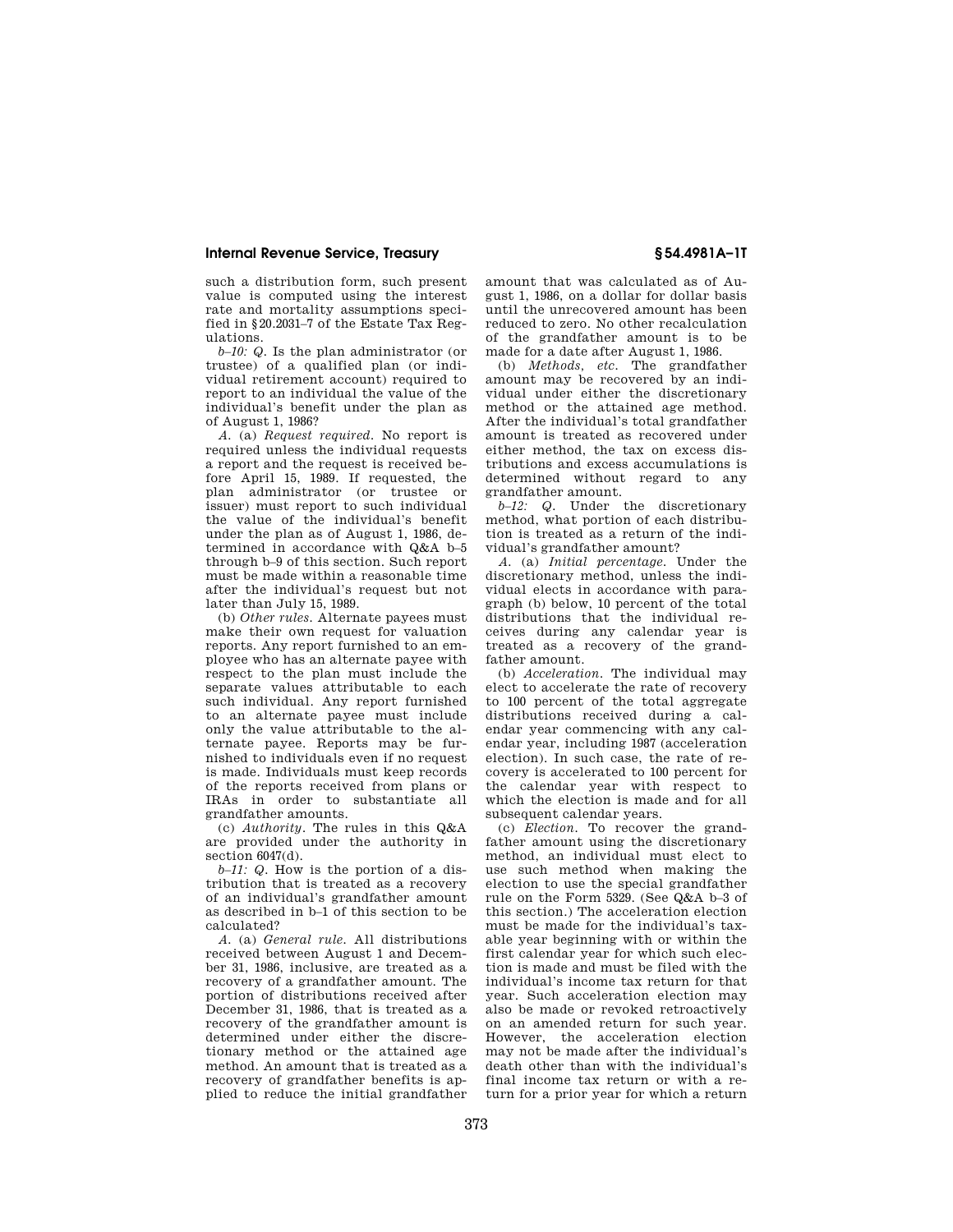such a distribution form, such present value is computed using the interest rate and mortality assumptions specified in §20.2031–7 of the Estate Tax Regulations.

*b–10: Q.* Is the plan administrator (or trustee) of a qualified plan (or individual retirement account) required to report to an individual the value of the individual's benefit under the plan as of August 1, 1986?

*A.* (a) *Request required.* No report is required unless the individual requests a report and the request is received before April 15, 1989. If requested, the plan administrator (or trustee or issuer) must report to such individual the value of the individual's benefit under the plan as of August 1, 1986, determined in accordance with Q&A b–5 through b–9 of this section. Such report must be made within a reasonable time after the individual's request but not later than July 15, 1989.

(b) *Other rules.* Alternate payees must make their own request for valuation reports. Any report furnished to an employee who has an alternate payee with respect to the plan must include the separate values attributable to each such individual. Any report furnished to an alternate payee must include only the value attributable to the alternate payee. Reports may be furnished to individuals even if no request is made. Individuals must keep records of the reports received from plans or IRAs in order to substantiate all grandfather amounts.

(c) *Authority.* The rules in this Q&A are provided under the authority in section 6047(d).

*b–11: Q.* How is the portion of a distribution that is treated as a recovery of an individual's grandfather amount as described in b–1 of this section to be calculated?

*A.* (a) *General rule.* All distributions received between August 1 and December 31, 1986, inclusive, are treated as a recovery of a grandfather amount. The portion of distributions received after December 31, 1986, that is treated as a recovery of the grandfather amount is determined under either the discretionary method or the attained age method. An amount that is treated as a recovery of grandfather benefits is applied to reduce the initial grandfather

amount that was calculated as of August 1, 1986, on a dollar for dollar basis until the unrecovered amount has been reduced to zero. No other recalculation of the grandfather amount is to be made for a date after August 1, 1986.

(b) *Methods, etc.* The grandfather amount may be recovered by an individual under either the discretionary method or the attained age method. After the individual's total grandfather amount is treated as recovered under either method, the tax on excess distributions and excess accumulations is determined without regard to any grandfather amount.

*b–12: Q.* Under the discretionary method, what portion of each distribution is treated as a return of the individual's grandfather amount?

*A.* (a) *Initial percentage.* Under the discretionary method, unless the individual elects in accordance with paragraph (b) below, 10 percent of the total distributions that the individual receives during any calendar year is treated as a recovery of the grandfather amount.

(b) *Acceleration.* The individual may elect to accelerate the rate of recovery to 100 percent of the total aggregate distributions received during a calendar year commencing with any calendar year, including 1987 (acceleration election). In such case, the rate of recovery is accelerated to 100 percent for the calendar year with respect to which the election is made and for all subsequent calendar years.

(c) *Election.* To recover the grandfather amount using the discretionary method, an individual must elect to use such method when making the election to use the special grandfather rule on the Form 5329. (See Q&A b–3 of this section.) The acceleration election must be made for the individual's taxable year beginning with or within the first calendar year for which such election is made and must be filed with the individual's income tax return for that year. Such acceleration election may also be made or revoked retroactively on an amended return for such year. However, the acceleration election may not be made after the individual's death other than with the individual's final income tax return or with a return for a prior year for which a return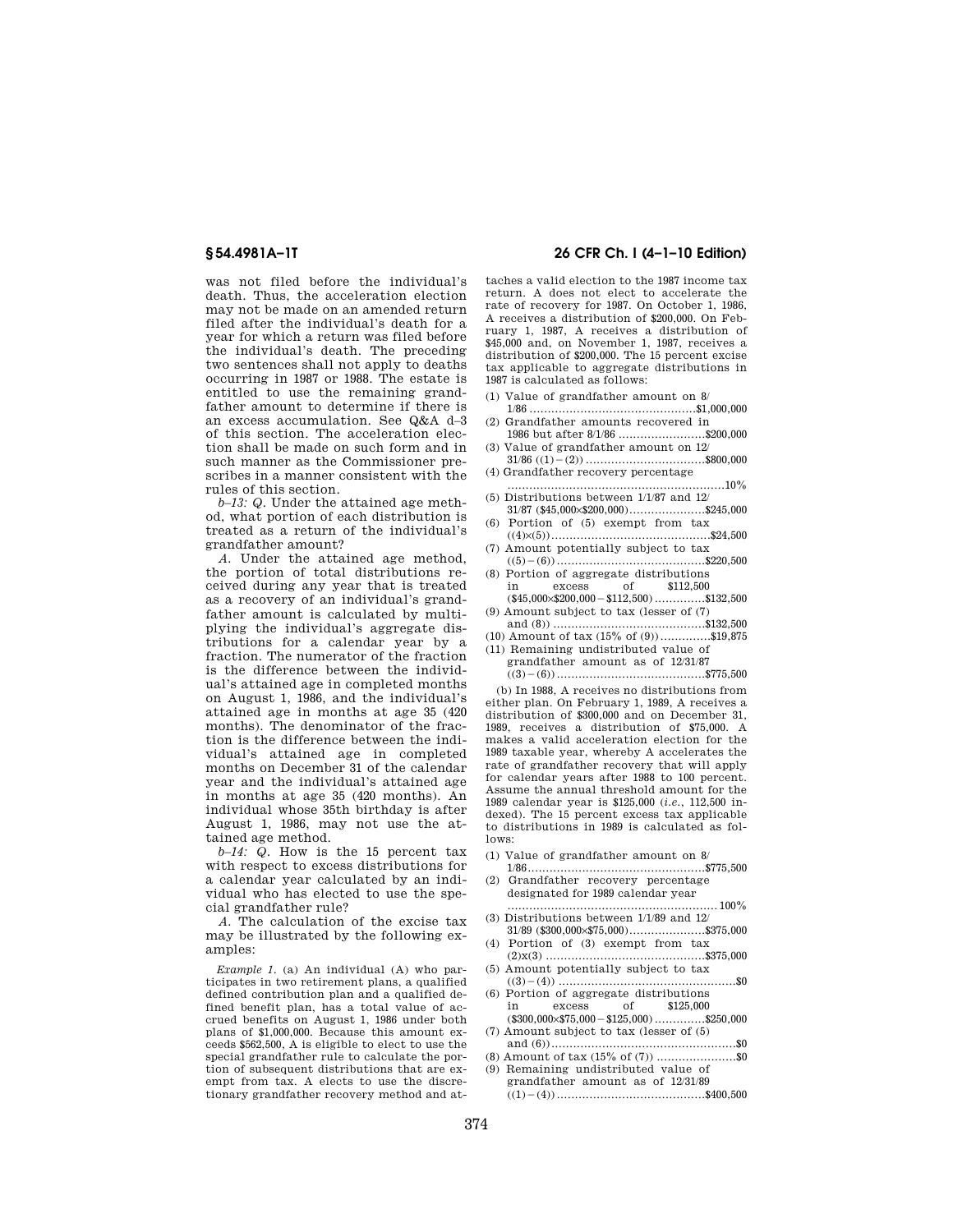was not filed before the individual's death. Thus, the acceleration election may not be made on an amended return filed after the individual's death for a year for which a return was filed before the individual's death. The preceding two sentences shall not apply to deaths occurring in 1987 or 1988. The estate is entitled to use the remaining grandfather amount to determine if there is an excess accumulation. See Q&A d–3 of this section. The acceleration election shall be made on such form and in such manner as the Commissioner prescribes in a manner consistent with the rules of this section.

*b–13: Q.* Under the attained age method, what portion of each distribution is treated as a return of the individual's grandfather amount?

*A.* Under the attained age method, the portion of total distributions received during any year that is treated as a recovery of an individual's grandfather amount is calculated by multiplying the individual's aggregate distributions for a calendar year by a fraction. The numerator of the fraction is the difference between the individual's attained age in completed months on August 1, 1986, and the individual's attained age in months at age 35 (420 months). The denominator of the fraction is the difference between the individual's attained age in completed months on December 31 of the calendar year and the individual's attained age in months at age 35 (420 months). An individual whose 35th birthday is after August 1, 1986, may not use the attained age method.

*b–14: Q.* How is the 15 percent tax with respect to excess distributions for a calendar year calculated by an individual who has elected to use the special grandfather rule?

*A.* The calculation of the excise tax may be illustrated by the following examples:

*Example 1.* (a) An individual (A) who participates in two retirement plans, a qualified defined contribution plan and a qualified defined benefit plan, has a total value of accrued benefits on August 1, 1986 under both plans of \$1,000,000. Because this amount exceeds \$562,500, A is eligible to elect to use the special grandfather rule to calculate the portion of subsequent distributions that are exempt from tax. A elects to use the discretionary grandfather recovery method and at-

# **§ 54.4981A–1T 26 CFR Ch. I (4–1–10 Edition)**

taches a valid election to the 1987 income tax return. A does not elect to accelerate the rate of recovery for 1987. On October 1, 1986 A receives a distribution of \$200,000. On February 1, 1987, A receives a distribution of \$45,000 and, on November 1, 1987, receives a distribution of \$200,000. The 15 percent excise tax applicable to aggregate distributions in 1987 is calculated as follows:

- (1) Value of grandfather amount on 8/
- 1/86 ..............................................\$1,000,000 (2) Grandfather amounts recovered in
- 1986 but after 8/1/86 ........................\$200,000 Value of grandfather amount on 12/
- 31/86 ((1)¥(2)) .................................\$800,000 (4) Grandfather recovery percentage
- ............................................................10% (5) Distributions between 1/1/87 and 12/
- $31/87$  (\$45,000 $\times$ \$200,000)........................\$245,000 (6) Portion of (5) exempt from tax
- ((4)×(5))............................................\$24,500 (7) Amount potentially subject to tax
- ((5)¥(6)).........................................\$220,500 (8) Portion of aggregate distributions
- in excess of \$112,500  $(*45,000 \times $200,000 - $112,500)$  ................\$132,500
- (9) Amount subject to tax (lesser of (7) and (8)) ..........................................\$132,500
- (10) Amount of tax (15% of (9))..............\$19,875 (11) Remaining undistributed value of
	- grandfather amount as of 12/31/87 ((3)¥(6)).........................................\$775,500

(b) In 1988, A receives no distributions from either plan. On February 1, 1989, A receives a distribution of \$300,000 and on December 31, 1989, receives a distribution of \$75,000. A makes a valid acceleration election for the 1989 taxable year, whereby A accelerates the rate of grandfather recovery that will apply for calendar years after 1988 to 100 percent. Assume the annual threshold amount for the 1989 calendar year is \$125,000 (*i.e.*, 112,500 indexed). The 15 percent excess tax applicable to distributions in 1989 is calculated as follows:

- (1) Value of grandfather amount on 8/
- 1/86.................................................\$775,500 (2) Grandfather recovery percentage designated for 1989 calendar year
- .......................................................... 100% (3) Distributions between 1/1/89 and 12/
- $31/89$  (\$300,000 $\times$ \$75,000)........................\$375,000 (4) Portion of (3) exempt from tax
- (2)x(3) ............................................\$375,000 (5) Amount potentially subject to tax
- ((3)¥(4)) .................................................\$0 (6) Portion of aggregate distributions in excess of \$125,000
- (\$300,000×\$75,000¥\$125,000) ..............\$250,000 (7) Amount subject to tax (lesser of (5) and (6))...................................................\$0
- (8) Amount of tax (15% of (7)) ......................\$0
- (9) Remaining undistributed value of grandfather amount as of 12/31/89
	- ((1)¥(4)).........................................\$400,500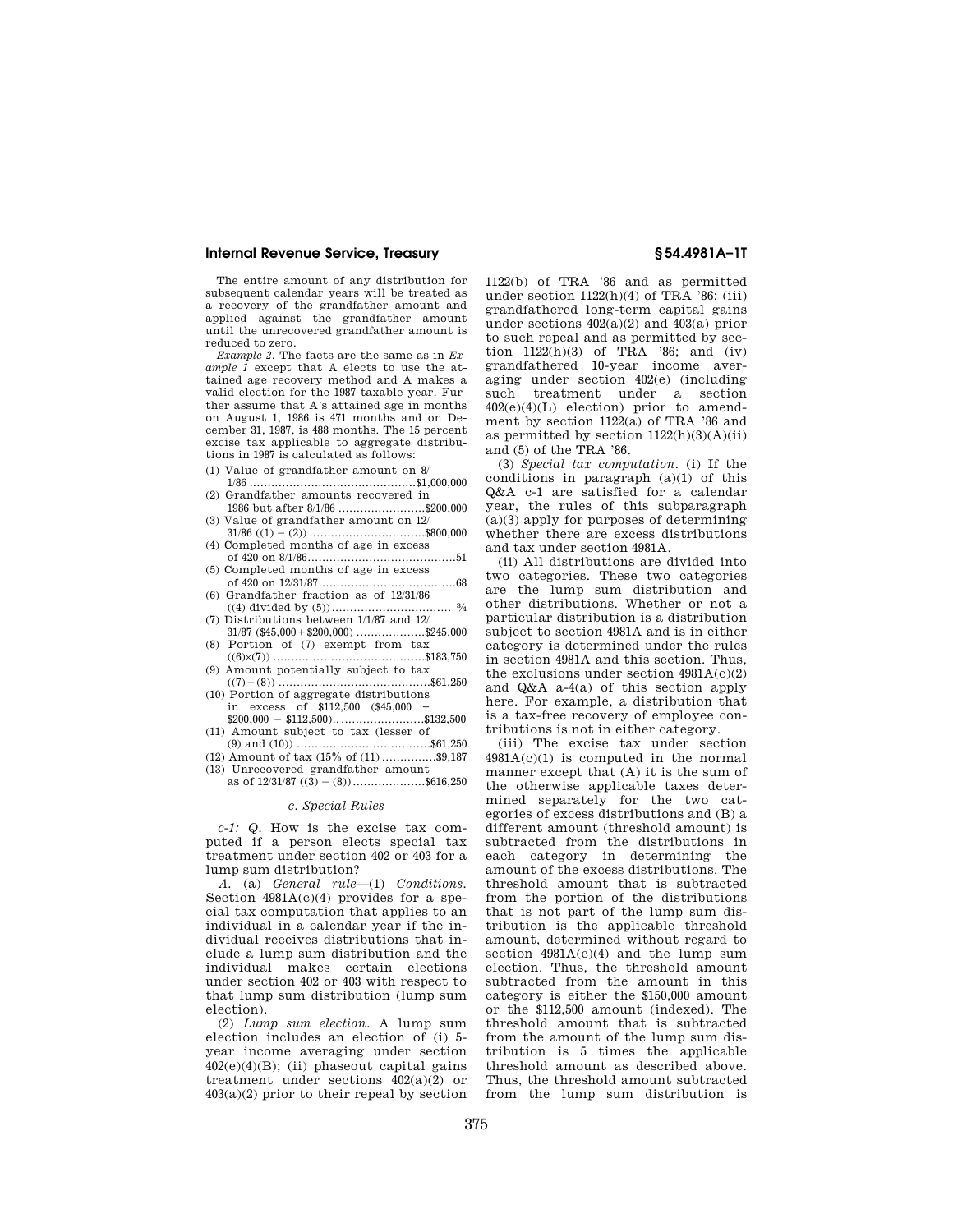The entire amount of any distribution for subsequent calendar years will be treated as a recovery of the grandfather amount and applied against the grandfather amount until the unrecovered grandfather amount is reduced to zero.

*Example 2.* The facts are the same as in *Example 1* except that A elects to use the attained age recovery method and A makes a valid election for the 1987 taxable year. Further assume that A's attained age in months on August 1, 1986 is 471 months and on December 31, 1987, is 488 months. The 15 percent excise tax applicable to aggregate distributions in 1987 is calculated as follows:

- (1) Value of grandfather amount on 8/
- 1/86 ..............................................\$1,000,000 (2) Grandfather amounts recovered in
- 1986 but after 8/1/86 ........................\$200,000 (3) Value of grandfather amount on 12/
- $31/86 ((1) (2))$  .................................\$800,000 (4) Completed months of age in excess
- of 420 on 8/1/86.........................................51 (5) Completed months of age in excess
- of 420 on 12/31/87......................................68 (6) Grandfather fraction as of 12/31/86 ((4) divided by (5))................................. 3⁄4
- (7) Distributions between 1/1/87 and 12/ 31/87 (\$45,000 + \$200,000)  $\cdots\cdots\cdots\cdots\cdots\cdots\cdots\cdots\cdots\cdots\cdots$
- (8) Portion of (7) exempt from tax ((6)×(7)) ..........................................\$183,750
- (9) Amount potentially subject to tax
- ((7)¥(8)) ..........................................\$61,250 (10) Portion of aggregate distributions
- in excess of \$112,500 (\$45,000 + \$200,000 ¥ \$112,500).........................\$132,500
- (11) Amount subject to tax (lesser of (9) and (10)) .....................................\$61,250
- $(12)$  Amount of tax  $(15\% \text{ of } (11)$  ................\$9.187 (13) Unrecovered grandfather amount
- as of  $12/31/87$  ((3) (8))....................\$616,250

### *c. Special Rules*

*c-1: Q.* How is the excise tax computed if a person elects special tax treatment under section 402 or 403 for a lump sum distribution?

*A.* (a) *General rule*—(1) *Conditions.*  Section 4981A(c)(4) provides for a special tax computation that applies to an individual in a calendar year if the individual receives distributions that include a lump sum distribution and the individual makes certain elections under section 402 or 403 with respect to that lump sum distribution (lump sum election).

(2) *Lump sum election.* A lump sum election includes an election of (i) 5 year income averaging under section  $402(e)(4)(B)$ ; (ii) phaseout capital gains treatment under sections  $402(a)(2)$  or  $403(a)(2)$  prior to their repeal by section 1122(b) of TRA '86 and as permitted under section  $1122(h)(4)$  of TRA '86; (iii) grandfathered long-term capital gains under sections  $402(a)(2)$  and  $403(a)$  prior to such repeal and as permitted by section  $1122(h)(3)$  of TRA '86; and (iv) grandfathered 10-year income averaging under section 402(e) (including such treatment under a section  $402(e)(4)(L)$  election) prior to amendment by section 1122(a) of TRA '86 and as permitted by section  $1122(h)(3)(A)(ii)$ and (5) of the TRA '86.

(3) *Special tax computation.* (i) If the conditions in paragraph  $(a)(1)$  of this Q&A c-1 are satisfied for a calendar year, the rules of this subparagraph (a)(3) apply for purposes of determining whether there are excess distributions and tax under section 4981A.

(ii) All distributions are divided into two categories. These two categories are the lump sum distribution and other distributions. Whether or not a particular distribution is a distribution subject to section 4981A and is in either category is determined under the rules in section 4981A and this section. Thus, the exclusions under section  $4981A(c)(2)$ and Q&A a-4(a) of this section apply here. For example, a distribution that is a tax-free recovery of employee contributions is not in either category.

(iii) The excise tax under section 4981A(c)(1) is computed in the normal manner except that (A) it is the sum of the otherwise applicable taxes determined separately for the two categories of excess distributions and (B) a different amount (threshold amount) is subtracted from the distributions in each category in determining the amount of the excess distributions. The threshold amount that is subtracted from the portion of the distributions that is not part of the lump sum distribution is the applicable threshold amount, determined without regard to section  $4981A(c)(4)$  and the lump sum election. Thus, the threshold amount subtracted from the amount in this category is either the \$150,000 amount or the \$112,500 amount (indexed). The threshold amount that is subtracted from the amount of the lump sum distribution is 5 times the applicable threshold amount as described above. Thus, the threshold amount subtracted from the lump sum distribution is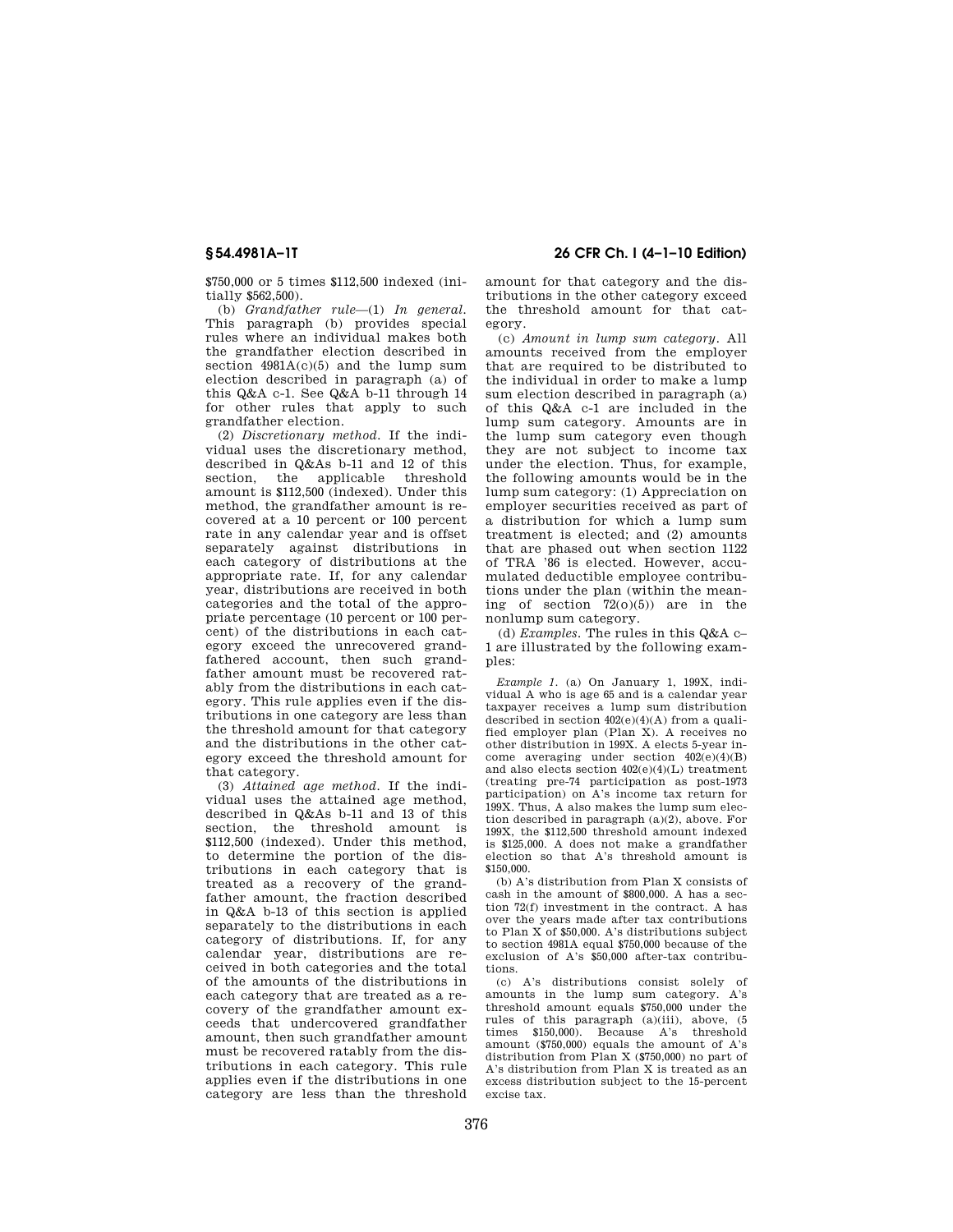\$750,000 or 5 times \$112,500 indexed (initially \$562,500).

(b) *Grandfather rule*—(1) *In general.*  This paragraph (b) provides special rules where an individual makes both the grandfather election described in section  $4981A(c)(5)$  and the lump sum election described in paragraph (a) of this Q&A c-1. See Q&A b-11 through 14 for other rules that apply to such grandfather election.

(2) *Discretionary method.* If the individual uses the discretionary method, described in Q&As b-11 and 12 of this section, the applicable threshold amount is \$112,500 (indexed). Under this method, the grandfather amount is recovered at a 10 percent or 100 percent rate in any calendar year and is offset separately against distributions in each category of distributions at the appropriate rate. If, for any calendar year, distributions are received in both categories and the total of the appropriate percentage (10 percent or 100 percent) of the distributions in each category exceed the unrecovered grandfathered account, then such grandfather amount must be recovered ratably from the distributions in each category. This rule applies even if the distributions in one category are less than the threshold amount for that category and the distributions in the other category exceed the threshold amount for that category.

(3) *Attained age method.* If the individual uses the attained age method, described in Q&As b-11 and 13 of this section, the threshold amount is \$112,500 (indexed). Under this method, to determine the portion of the distributions in each category that is treated as a recovery of the grandfather amount, the fraction described in Q&A b-13 of this section is applied separately to the distributions in each category of distributions. If, for any calendar year, distributions are received in both categories and the total of the amounts of the distributions in each category that are treated as a recovery of the grandfather amount exceeds that undercovered grandfather amount, then such grandfather amount must be recovered ratably from the distributions in each category. This rule applies even if the distributions in one category are less than the threshold

**§ 54.4981A–1T 26 CFR Ch. I (4–1–10 Edition)** 

amount for that category and the distributions in the other category exceed the threshold amount for that category.

(c) *Amount in lump sum category.* All amounts received from the employer that are required to be distributed to the individual in order to make a lump sum election described in paragraph (a) of this Q&A c-1 are included in the lump sum category. Amounts are in the lump sum category even though they are not subject to income tax under the election. Thus, for example, the following amounts would be in the lump sum category: (1) Appreciation on employer securities received as part of a distribution for which a lump sum treatment is elected; and (2) amounts that are phased out when section 1122 of TRA '86 is elected. However, accumulated deductible employee contributions under the plan (within the meaning of section  $72(0)(5)$  are in the nonlump sum category.

(d) *Examples.* The rules in this Q&A c– 1 are illustrated by the following examples:

*Example 1.* (a) On January 1, 199X, individual A who is age 65 and is a calendar year taxpayer receives a lump sum distribution described in section  $402(e)(4)(A)$  from a qualified employer plan (Plan X). A receives no other distribution in 199X. A elects 5-year income averaging under section 402(e)(4)(B) and also elects section 402(e)(4)(L) treatment (treating pre-74 participation as post-1973 participation) on A's income tax return for 199X. Thus, A also makes the lump sum election described in paragraph (a)(2), above. For 199X, the \$112,500 threshold amount indexed is \$125,000. A does not make a grandfather election so that A's threshold amount is \$150,000.

(b) A's distribution from Plan X consists of cash in the amount of \$800,000. A has a section 72(f) investment in the contract. A has over the years made after tax contributions to Plan X of \$50,000. A's distributions subject to section 4981A equal \$750,000 because of the exclusion of A's \$50,000 after-tax contributions.

(c) A's distributions consist solely of amounts in the lump sum category. A's threshold amount equals \$750,000 under the rules of this paragraph (a)(iii), above, (5 times \$150,000). Because A's threshold amount (\$750,000) equals the amount of A's distribution from Plan X (\$750,000) no part of A's distribution from Plan X is treated as an excess distribution subject to the 15-percent excise tax.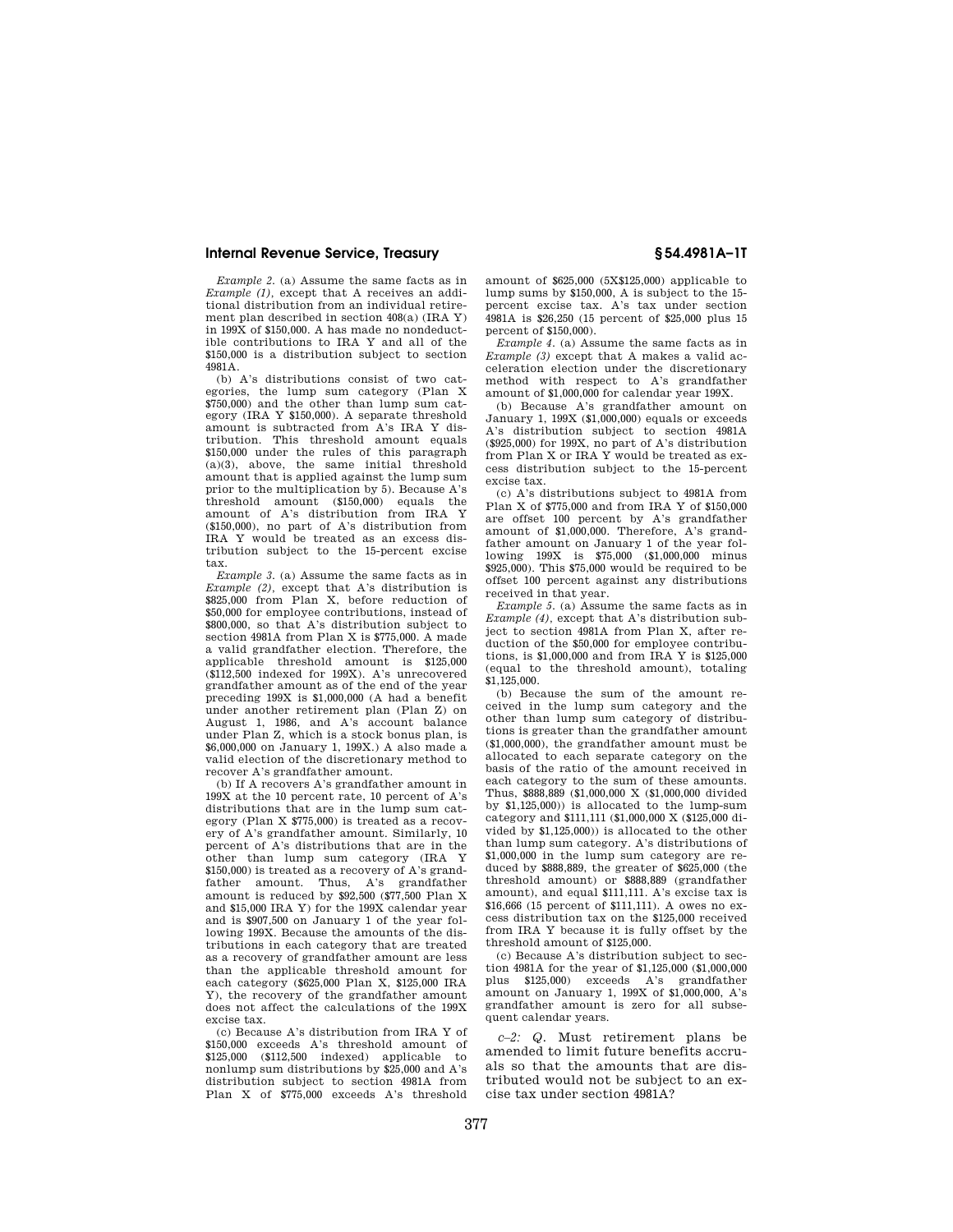*Example 2.* (a) Assume the same facts as in *Example (1),* except that A receives an additional distribution from an individual retirement plan described in section 408(a) (IRA Y) in 199X of \$150,000. A has made no nondeductible contributions to IRA Y and all of the \$150,000 is a distribution subject to section 4981A.

(b) A's distributions consist of two categories, the lump sum category (Plan X \$750,000) and the other than lump sum category (IRA Y \$150,000). A separate threshold amount is subtracted from A's IRA Y distribution. This threshold amount equals \$150,000 under the rules of this paragraph  $(a)(3)$ , above, the same initial threshold amount that is applied against the lump sum prior to the multiplication by 5). Because A's threshold amount (\$150,000) equals the amount of A's distribution from IRA Y (\$150,000), no part of A's distribution from IRA Y would be treated as an excess distribution subject to the 15-percent excise tax.

*Example 3.* (a) Assume the same facts as in *Example (2),* except that A's distribution is \$825,000 from Plan X, before reduction of \$50,000 for employee contributions, instead of \$800,000, so that A's distribution subject to section 4981A from Plan X is \$775,000. A made a valid grandfather election. Therefore, the applicable threshold amount is \$125,000 (\$112,500 indexed for 199X). A's unrecovered grandfather amount as of the end of the year preceding 199X is \$1,000,000 (A had a benefit under another retirement plan (Plan Z) on August 1, 1986, and A's account balance under Plan Z, which is a stock bonus plan, is \$6,000,000 on January 1, 199X.) A also made a valid election of the discretionary method to recover A's grandfather amount.

(b) If A recovers A's grandfather amount in 199X at the 10 percent rate, 10 percent of A's distributions that are in the lump sum category (Plan X \$775,000) is treated as a recovery of A's grandfather amount. Similarly, 10 percent of A's distributions that are in the other than lump sum category (IRA Y \$150,000) is treated as a recovery of A's grandfather amount. Thus, A's grandfather amount is reduced by \$92,500 (\$77,500 Plan X and \$15,000 IRA Y) for the 199X calendar year and is \$907,500 on January 1 of the year following 199X. Because the amounts of the distributions in each category that are treated as a recovery of grandfather amount are less than the applicable threshold amount for each category (\$625,000 Plan X, \$125,000 IRA Y), the recovery of the grandfather amount does not affect the calculations of the 199X excise tax.

(c) Because A's distribution from IRA Y of \$150,000 exceeds A's threshold amount of \$125,000 (\$112,500 indexed) applicable to nonlump sum distributions by \$25,000 and A's distribution subject to section 4981A from Plan X of \$775,000 exceeds A's threshold

amount of \$625,000 (5X\$125,000) applicable to lump sums by \$150,000, A is subject to the 15 percent excise tax. A's tax under section 4981A is \$26,250 (15 percent of \$25,000 plus 15 percent of \$150,000).

*Example 4.* (a) Assume the same facts as in *Example (3)* except that A makes a valid acceleration election under the discretionary method with respect to A's grandfather amount of \$1,000,000 for calendar year 199X.

(b) Because A's grandfather amount on January 1, 199X (\$1,000,000) equals or exceeds A's distribution subject to section 4981A (\$925,000) for 199X, no part of A's distribution from Plan X or IRA Y would be treated as excess distribution subject to the 15-percent excise tax.

(c) A's distributions subject to 4981A from Plan X of \$775,000 and from IRA Y of \$150,000 are offset 100 percent by A's grandfather amount of \$1,000,000. Therefore, A's grandfather amount on January 1 of the year following 199X is \$75,000 (\$1,000,000 minus \$925,000). This \$75,000 would be required to be offset 100 percent against any distributions received in that year.

*Example 5.* (a) Assume the same facts as in *Example (4),* except that A's distribution subject to section 4981A from Plan X, after reduction of the \$50,000 for employee contributions, is \$1,000,000 and from IRA Y is \$125,000 (equal to the threshold amount), totaling \$1,125,000.

(b) Because the sum of the amount received in the lump sum category and the other than lump sum category of distributions is greater than the grandfather amount (\$1,000,000), the grandfather amount must be allocated to each separate category on the basis of the ratio of the amount received in each category to the sum of these amounts. Thus, \$888,889 (\$1,000,000 X (\$1,000,000 divided by \$1,125,000)) is allocated to the lump-sum category and \$111,111 (\$1,000,000 X (\$125,000 divided by \$1,125,000)) is allocated to the other than lump sum category. A's distributions of \$1,000,000 in the lump sum category are reduced by \$888,889, the greater of \$625,000 (the threshold amount) or \$888,889 (grandfather amount), and equal \$111,111. A's excise tax is \$16,666 (15 percent of \$111,111). A owes no excess distribution tax on the \$125,000 received from IRA Y because it is fully offset by the threshold amount of \$125,000.

(c) Because A's distribution subject to section 4981A for the year of \$1,125,000 (\$1,000,000 plus \$125,000) exceeds A's grandfather amount on January 1, 199X of \$1,000,000, A's grandfather amount is zero for all subsequent calendar years.

*c–2: Q.* Must retirement plans be amended to limit future benefits accruals so that the amounts that are distributed would not be subject to an excise tax under section 4981A?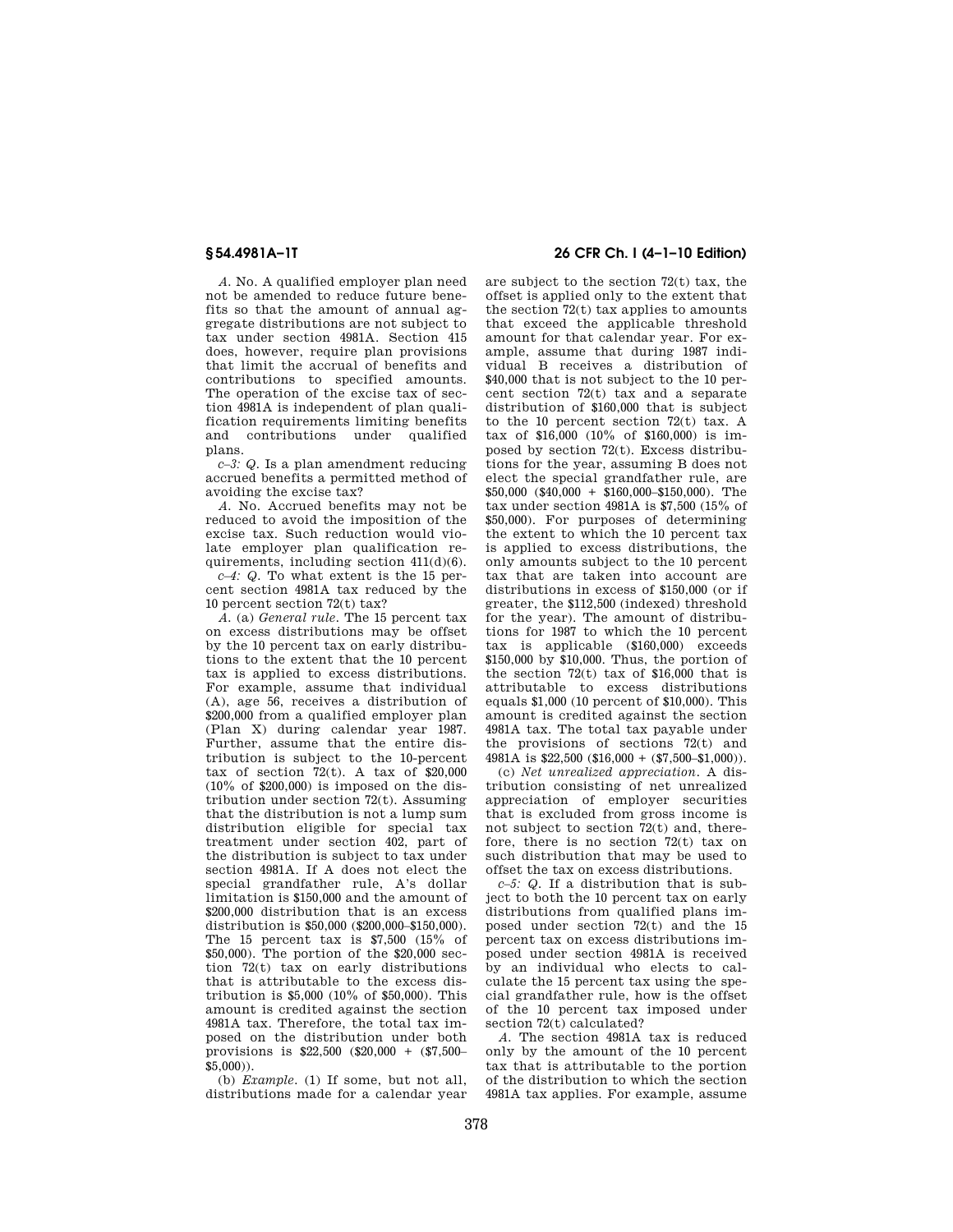*A.* No. A qualified employer plan need not be amended to reduce future benefits so that the amount of annual aggregate distributions are not subject to tax under section 4981A. Section 415 does, however, require plan provisions that limit the accrual of benefits and contributions to specified amounts. The operation of the excise tax of section 4981A is independent of plan qualification requirements limiting benefits and contributions under qualified plans.

*c–3: Q.* Is a plan amendment reducing accrued benefits a permitted method of avoiding the excise tax?

*A.* No. Accrued benefits may not be reduced to avoid the imposition of the excise tax. Such reduction would violate employer plan qualification requirements, including section 411(d)(6).

*c–4: Q.* To what extent is the 15 percent section 4981A tax reduced by the 10 percent section 72(t) tax?

*A.* (a) *General rule.* The 15 percent tax on excess distributions may be offset by the 10 percent tax on early distributions to the extent that the 10 percent tax is applied to excess distributions. For example, assume that individual (A), age 56, receives a distribution of \$200,000 from a qualified employer plan (Plan X) during calendar year 1987. Further, assume that the entire distribution is subject to the 10-percent tax of section  $72(t)$ . A tax of \$20,000  $(10\% \text{ of } $200,000)$  is imposed on the distribution under section 72(t). Assuming that the distribution is not a lump sum distribution eligible for special tax treatment under section 402, part of the distribution is subject to tax under section 4981A. If A does not elect the special grandfather rule, A's dollar limitation is \$150,000 and the amount of \$200,000 distribution that is an excess distribution is \$50,000 (\$200,000–\$150,000). The 15 percent tax is \$7,500 (15% of \$50,000). The portion of the \$20,000 section 72(t) tax on early distributions that is attributable to the excess distribution is \$5,000 (10% of \$50,000). This amount is credited against the section 4981A tax. Therefore, the total tax imposed on the distribution under both provisions is \$22,500 (\$20,000 + (\$7,500–  $$5,000$ )

(b) *Example.* (1) If some, but not all, distributions made for a calendar year

# **§ 54.4981A–1T 26 CFR Ch. I (4–1–10 Edition)**

are subject to the section 72(t) tax, the offset is applied only to the extent that the section 72(t) tax applies to amounts that exceed the applicable threshold amount for that calendar year. For example, assume that during 1987 individual B receives a distribution of \$40,000 that is not subject to the 10 percent section 72(t) tax and a separate distribution of \$160,000 that is subject to the 10 percent section 72(t) tax. A tax of \$16,000 (10% of \$160,000) is imposed by section 72(t). Excess distributions for the year, assuming B does not elect the special grandfather rule, are \$50,000 (\$40,000 + \$160,000–\$150,000). The tax under section 4981A is \$7,500 (15% of \$50,000). For purposes of determining the extent to which the 10 percent tax is applied to excess distributions, the only amounts subject to the 10 percent tax that are taken into account are distributions in excess of \$150,000 (or if greater, the \$112,500 (indexed) threshold for the year). The amount of distributions for 1987 to which the 10 percent tax is applicable (\$160,000) exceeds \$150,000 by \$10,000. Thus, the portion of the section  $72(t)$  tax of \$16,000 that is attributable to excess distributions equals \$1,000 (10 percent of \$10,000). This amount is credited against the section 4981A tax. The total tax payable under the provisions of sections 72(t) and 4981A is  $$22,500$  (\$16,000 + (\$7,500-\$1,000)).

(c) *Net unrealized appreciation.* A distribution consisting of net unrealized appreciation of employer securities that is excluded from gross income is not subject to section 72(t) and, therefore, there is no section 72(t) tax on such distribution that may be used to offset the tax on excess distributions.

*c–5: Q.* If a distribution that is subject to both the 10 percent tax on early distributions from qualified plans imposed under section 72(t) and the 15 percent tax on excess distributions imposed under section 4981A is received by an individual who elects to calculate the 15 percent tax using the special grandfather rule, how is the offset of the 10 percent tax imposed under section 72(t) calculated?

*A.* The section 4981A tax is reduced only by the amount of the 10 percent tax that is attributable to the portion of the distribution to which the section 4981A tax applies. For example, assume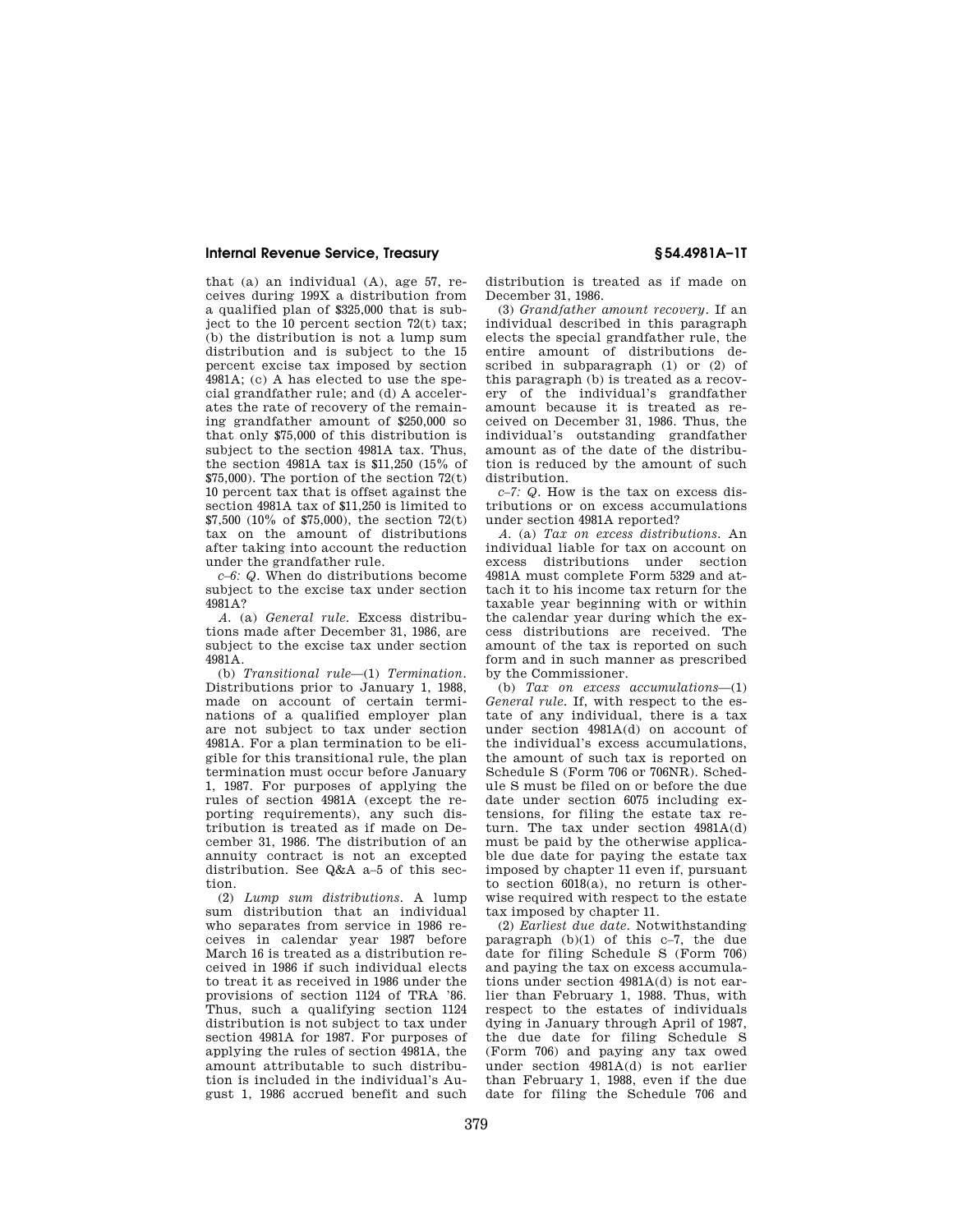that (a) an individual (A), age 57, receives during 199X a distribution from a qualified plan of \$325,000 that is subject to the 10 percent section 72(t) tax; (b) the distribution is not a lump sum distribution and is subject to the 15 percent excise tax imposed by section 4981A; (c) A has elected to use the special grandfather rule; and (d) A accelerates the rate of recovery of the remaining grandfather amount of \$250,000 so that only \$75,000 of this distribution is subject to the section 4981A tax. Thus, the section 4981A tax is \$11,250 (15% of  $$75,000$ ). The portion of the section  $72(t)$ 10 percent tax that is offset against the section 4981A tax of \$11,250 is limited to \$7,500 (10% of \$75,000), the section 72(t) tax on the amount of distributions after taking into account the reduction under the grandfather rule.

*c–6: Q.* When do distributions become subject to the excise tax under section 4981A?

*A.* (a) *General rule.* Excess distributions made after December 31, 1986, are subject to the excise tax under section 4981A.

(b) *Transitional rule*—(1) *Termination.*  Distributions prior to January 1, 1988, made on account of certain terminations of a qualified employer plan are not subject to tax under section 4981A. For a plan termination to be eligible for this transitional rule, the plan termination must occur before January 1, 1987. For purposes of applying the rules of section 4981A (except the reporting requirements), any such distribution is treated as if made on December 31, 1986. The distribution of an annuity contract is not an excepted distribution. See Q&A a–5 of this section.

(2) *Lump sum distributions.* A lump sum distribution that an individual who separates from service in 1986 receives in calendar year 1987 before March 16 is treated as a distribution received in 1986 if such individual elects to treat it as received in 1986 under the provisions of section 1124 of TRA '86. Thus, such a qualifying section 1124 distribution is not subject to tax under section 4981A for 1987. For purposes of applying the rules of section 4981A, the amount attributable to such distribution is included in the individual's August 1, 1986 accrued benefit and such

distribution is treated as if made on December 31, 1986.

(3) *Grandfather amount recovery.* If an individual described in this paragraph elects the special grandfather rule, the entire amount of distributions described in subparagraph (1) or (2) of this paragraph (b) is treated as a recovery of the individual's grandfather amount because it is treated as received on December 31, 1986. Thus, the individual's outstanding grandfather amount as of the date of the distribution is reduced by the amount of such distribution.

*c–7: Q.* How is the tax on excess distributions or on excess accumulations under section 4981A reported?

*A.* (a) *Tax on excess distributions.* An individual liable for tax on account on excess distributions under section 4981A must complete Form 5329 and attach it to his income tax return for the taxable year beginning with or within the calendar year during which the excess distributions are received. The amount of the tax is reported on such form and in such manner as prescribed by the Commissioner.

(b) *Tax on excess accumulations*—(1) *General rule.* If, with respect to the estate of any individual, there is a tax under section 4981A(d) on account of the individual's excess accumulations, the amount of such tax is reported on Schedule S (Form 706 or 706NR). Schedule S must be filed on or before the due date under section 6075 including extensions, for filing the estate tax return. The tax under section  $4981A(d)$ must be paid by the otherwise applicable due date for paying the estate tax imposed by chapter 11 even if, pursuant to section 6018(a), no return is otherwise required with respect to the estate tax imposed by chapter 11.

(2) *Earliest due date.* Notwithstanding paragraph  $(b)(1)$  of this  $c-7$ , the due date for filing Schedule S (Form 706) and paying the tax on excess accumulations under section 4981A(d) is not earlier than February 1, 1988. Thus, with respect to the estates of individuals dying in January through April of 1987, the due date for filing Schedule S (Form 706) and paying any tax owed under section 4981A(d) is not earlier than February 1, 1988, even if the due date for filing the Schedule 706 and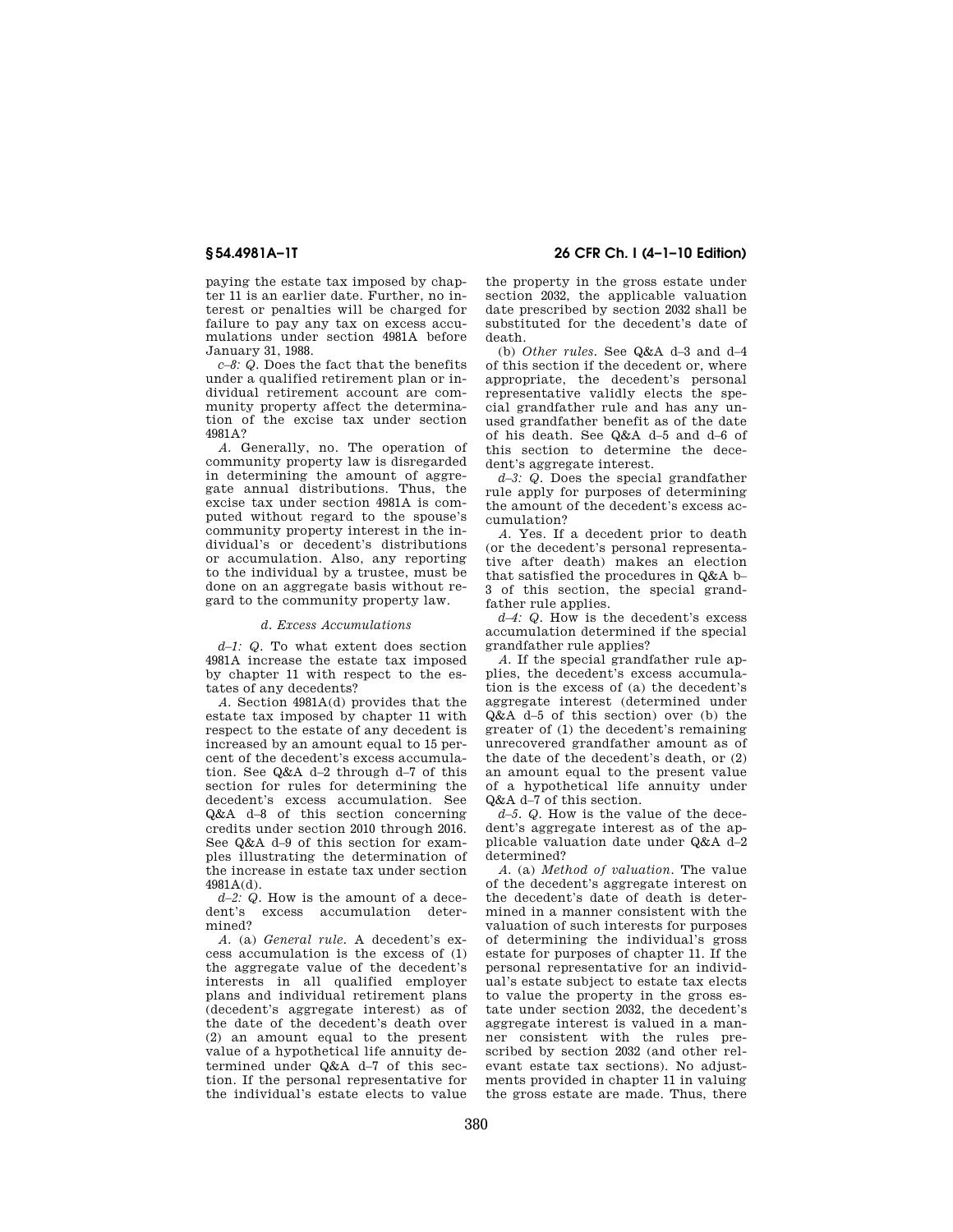paying the estate tax imposed by chapter 11 is an earlier date. Further, no interest or penalties will be charged for failure to pay any tax on excess accumulations under section 4981A before January 31, 1988.

*c–8: Q.* Does the fact that the benefits under a qualified retirement plan or individual retirement account are community property affect the determination of the excise tax under section 4981A?

*A.* Generally, no. The operation of community property law is disregarded in determining the amount of aggregate annual distributions. Thus, the excise tax under section 4981A is computed without regard to the spouse's community property interest in the individual's or decedent's distributions or accumulation. Also, any reporting to the individual by a trustee, must be done on an aggregate basis without regard to the community property law.

#### *d. Excess Accumulations*

*d–1: Q.* To what extent does section 4981A increase the estate tax imposed by chapter 11 with respect to the estates of any decedents?

*A.* Section 4981A(d) provides that the estate tax imposed by chapter 11 with respect to the estate of any decedent is increased by an amount equal to 15 percent of the decedent's excess accumulation. See Q&A d–2 through d–7 of this section for rules for determining the decedent's excess accumulation. See Q&A d–8 of this section concerning credits under section 2010 through 2016. See Q&A d–9 of this section for examples illustrating the determination of the increase in estate tax under section 4981A(d).

*d*-2: Q. How is the amount of a decedent's excess accumulation determined?

*A.* (a) *General rule.* A decedent's excess accumulation is the excess of (1) the aggregate value of the decedent's interests in all qualified employer plans and individual retirement plans (decedent's aggregate interest) as of the date of the decedent's death over (2) an amount equal to the present value of a hypothetical life annuity determined under Q&A d–7 of this section. If the personal representative for the individual's estate elects to value

## **§ 54.4981A–1T 26 CFR Ch. I (4–1–10 Edition)**

the property in the gross estate under section 2032, the applicable valuation date prescribed by section 2032 shall be substituted for the decedent's date of death.

(b) *Other rules.* See Q&A d–3 and d–4 of this section if the decedent or, where appropriate, the decedent's personal representative validly elects the special grandfather rule and has any unused grandfather benefit as of the date of his death. See Q&A d–5 and d–6 of this section to determine the decedent's aggregate interest.

*d–3: Q.* Does the special grandfather rule apply for purposes of determining the amount of the decedent's excess accumulation?

*A.* Yes. If a decedent prior to death (or the decedent's personal representative after death) makes an election that satisfied the procedures in Q&A b– 3 of this section, the special grandfather rule applies.

*d*–4: Q. How is the decedent's excess accumulation determined if the special grandfather rule applies?

*A.* If the special grandfather rule applies, the decedent's excess accumulation is the excess of (a) the decedent's aggregate interest (determined under Q&A d–5 of this section) over (b) the greater of (1) the decedent's remaining unrecovered grandfather amount as of the date of the decedent's death, or (2) an amount equal to the present value of a hypothetical life annuity under Q&A d–7 of this section.

*d–5. Q.* How is the value of the decedent's aggregate interest as of the applicable valuation date under Q&A d–2 determined?

*A.* (a) *Method of valuation.* The value of the decedent's aggregate interest on the decedent's date of death is determined in a manner consistent with the valuation of such interests for purposes of determining the individual's gross estate for purposes of chapter 11. If the personal representative for an individual's estate subject to estate tax elects to value the property in the gross estate under section 2032, the decedent's aggregate interest is valued in a manner consistent with the rules prescribed by section 2032 (and other relevant estate tax sections). No adjustments provided in chapter 11 in valuing the gross estate are made. Thus, there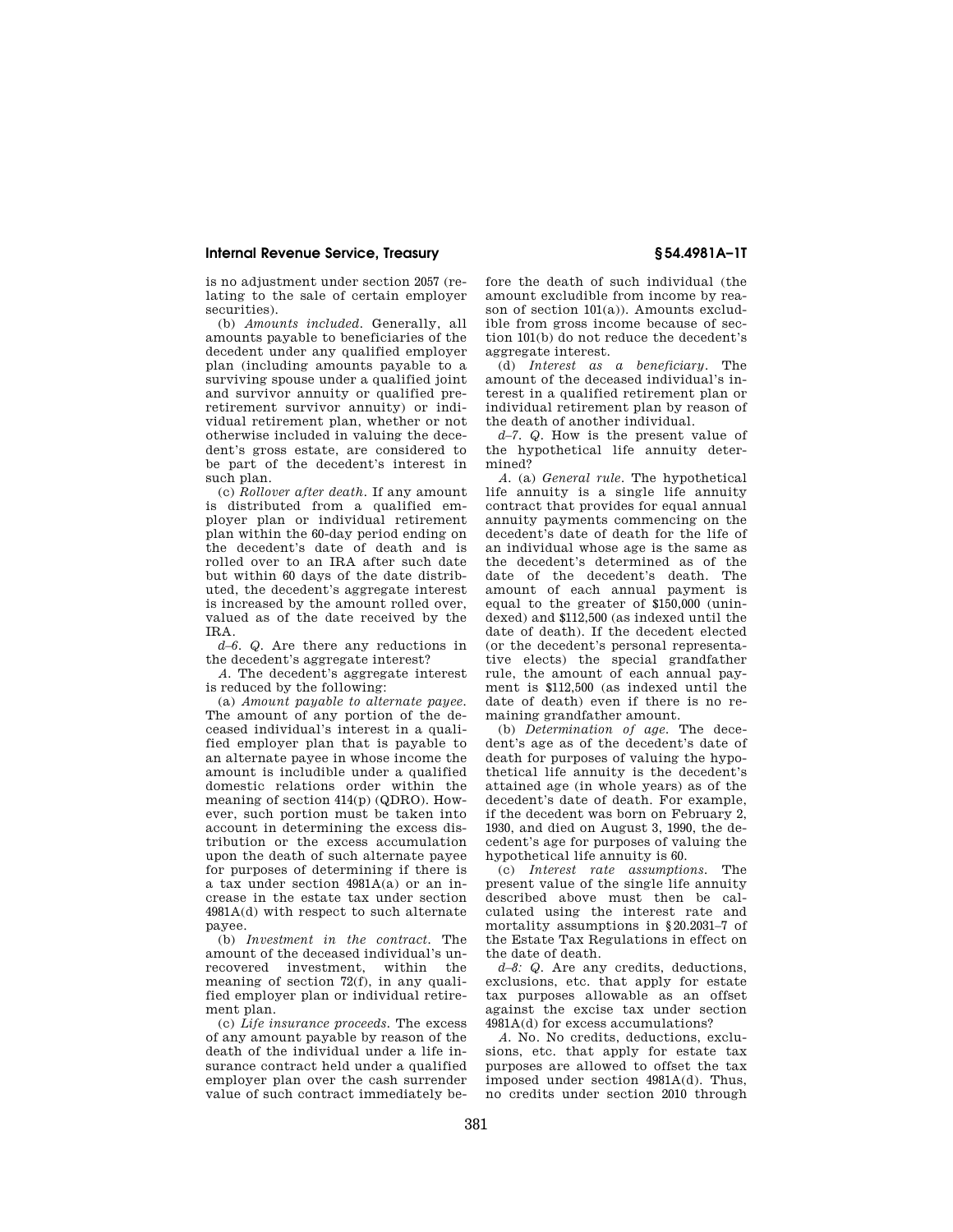is no adjustment under section 2057 (relating to the sale of certain employer securities).

(b) *Amounts included.* Generally, all amounts payable to beneficiaries of the decedent under any qualified employer plan (including amounts payable to a surviving spouse under a qualified joint and survivor annuity or qualified preretirement survivor annuity) or individual retirement plan, whether or not otherwise included in valuing the decedent's gross estate, are considered to be part of the decedent's interest in such plan.

(c) *Rollover after death.* If any amount is distributed from a qualified employer plan or individual retirement plan within the 60-day period ending on the decedent's date of death and is rolled over to an IRA after such date but within 60 days of the date distributed, the decedent's aggregate interest is increased by the amount rolled over, valued as of the date received by the IRA.

*d–6. Q.* Are there any reductions in the decedent's aggregate interest?

*A.* The decedent's aggregate interest is reduced by the following:

(a) *Amount payable to alternate payee.*  The amount of any portion of the deceased individual's interest in a qualified employer plan that is payable to an alternate payee in whose income the amount is includible under a qualified domestic relations order within the meaning of section 414(p) (QDRO). However, such portion must be taken into account in determining the excess distribution or the excess accumulation upon the death of such alternate payee for purposes of determining if there is a tax under section 4981A(a) or an increase in the estate tax under section 4981A(d) with respect to such alternate payee.

(b) *Investment in the contract.* The amount of the deceased individual's unrecovered investment, within the meaning of section 72(f), in any qualified employer plan or individual retirement plan.

(c) *Life insurance proceeds.* The excess of any amount payable by reason of the death of the individual under a life insurance contract held under a qualified employer plan over the cash surrender value of such contract immediately before the death of such individual (the amount excludible from income by reason of section 101(a)). Amounts excludible from gross income because of section 101(b) do not reduce the decedent's aggregate interest.

(d) *Interest as a beneficiary.* The amount of the deceased individual's interest in a qualified retirement plan or individual retirement plan by reason of the death of another individual.

*d–7. Q.* How is the present value of the hypothetical life annuity determined?

*A.* (a) *General rule.* The hypothetical life annuity is a single life annuity contract that provides for equal annual annuity payments commencing on the decedent's date of death for the life of an individual whose age is the same as the decedent's determined as of the date of the decedent's death. The amount of each annual payment is equal to the greater of \$150,000 (unindexed) and \$112,500 (as indexed until the date of death). If the decedent elected (or the decedent's personal representative elects) the special grandfather rule, the amount of each annual payment is \$112,500 (as indexed until the date of death) even if there is no remaining grandfather amount.

(b) *Determination of age.* The decedent's age as of the decedent's date of death for purposes of valuing the hypothetical life annuity is the decedent's attained age (in whole years) as of the decedent's date of death. For example, if the decedent was born on February 2, 1930, and died on August 3, 1990, the decedent's age for purposes of valuing the hypothetical life annuity is 60.

(c) *Interest rate assumptions.* The present value of the single life annuity described above must then be calculated using the interest rate and mortality assumptions in §20.2031–7 of the Estate Tax Regulations in effect on the date of death.

*d–8: Q.* Are any credits, deductions, exclusions, etc. that apply for estate tax purposes allowable as an offset against the excise tax under section 4981A(d) for excess accumulations?

*A.* No. No credits, deductions, exclusions, etc. that apply for estate tax purposes are allowed to offset the tax imposed under section 4981A(d). Thus, no credits under section 2010 through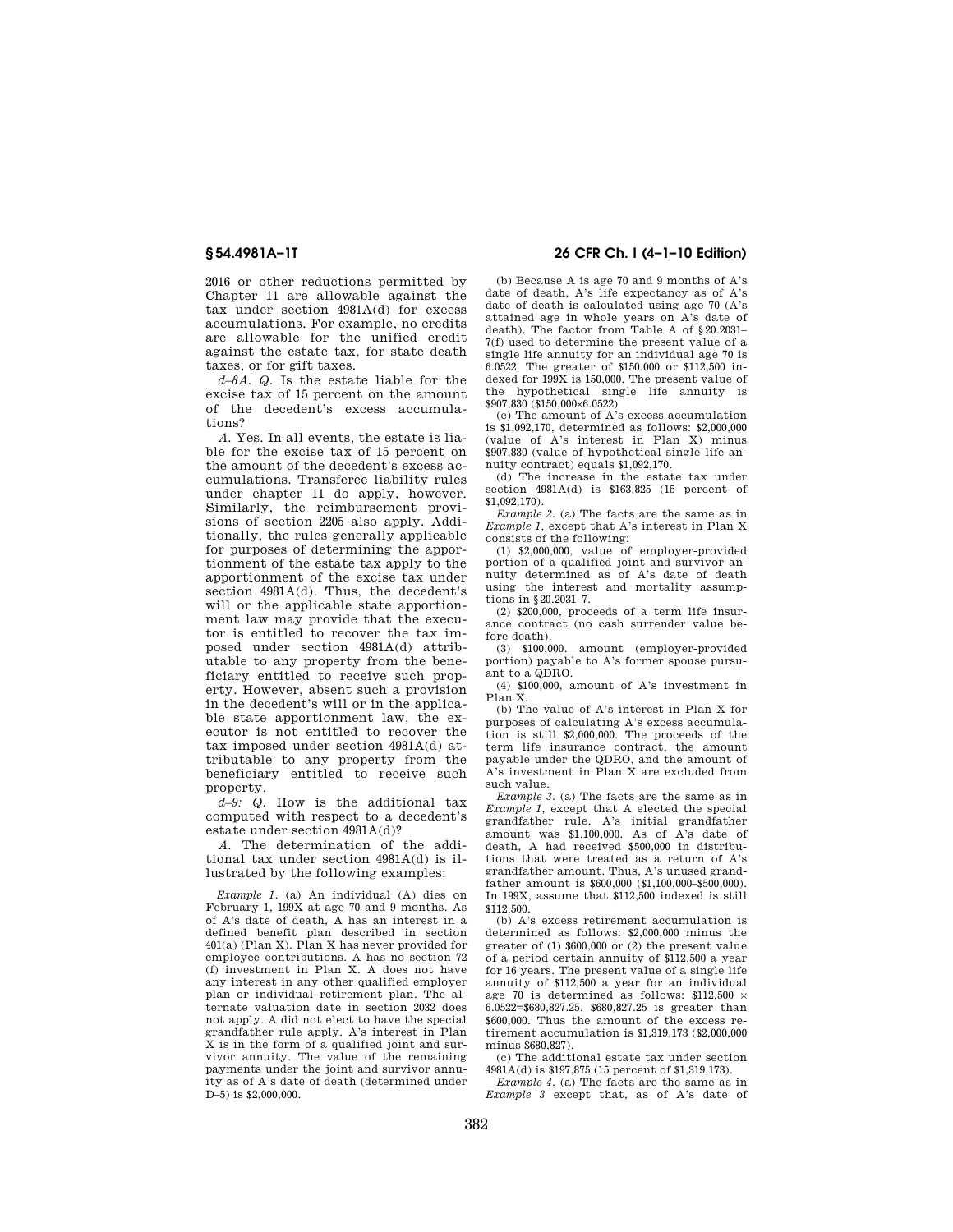2016 or other reductions permitted by Chapter 11 are allowable against the tax under section 4981A(d) for excess accumulations. For example, no credits are allowable for the unified credit against the estate tax, for state death taxes, or for gift taxes.

*d–8A. Q.* Is the estate liable for the excise tax of 15 percent on the amount of the decedent's excess accumulations?

*A.* Yes. In all events, the estate is liable for the excise tax of 15 percent on the amount of the decedent's excess accumulations. Transferee liability rules under chapter 11 do apply, however. Similarly, the reimbursement provisions of section 2205 also apply. Additionally, the rules generally applicable for purposes of determining the apportionment of the estate tax apply to the apportionment of the excise tax under section 4981A(d). Thus, the decedent's will or the applicable state apportionment law may provide that the executor is entitled to recover the tax imposed under section 4981A(d) attributable to any property from the beneficiary entitled to receive such property. However, absent such a provision in the decedent's will or in the applicable state apportionment law, the executor is not entitled to recover the tax imposed under section 4981A(d) attributable to any property from the beneficiary entitled to receive such property.

*d–9: Q.* How is the additional tax computed with respect to a decedent's estate under section 4981A(d)?

*A.* The determination of the additional tax under section 4981A(d) is illustrated by the following examples:

*Example 1.* (a) An individual (A) dies on February 1, 199X at age 70 and 9 months. As of A's date of death, A has an interest in a defined benefit plan described in section  $401(a)$  (Plan X). Plan X has never provided for employee contributions. A has no section 72 (f) investment in Plan X. A does not have any interest in any other qualified employer plan or individual retirement plan. The alternate valuation date in section 2032 does not apply. A did not elect to have the special grandfather rule apply. A's interest in Plan X is in the form of a qualified joint and survivor annuity. The value of the remaining payments under the joint and survivor annuity as of A's date of death (determined under  $D=5$ ) is \$2,000,000

# **§ 54.4981A–1T 26 CFR Ch. I (4–1–10 Edition)**

(b) Because A is age 70 and 9 months of A's date of death, A's life expectancy as of A's date of death is calculated using age 70 (A's attained age in whole years on A's date of death). The factor from Table A of §20.2031– 7(f) used to determine the present value of a single life annuity for an individual age 70 is 6.0522. The greater of \$150,000 or \$112,500 indexed for 199X is 150,000. The present value of the hypothetical single life annuity is \$907,830 (\$150,000×6.0522)

(c) The amount of A's excess accumulation is \$1,092,170, determined as follows: \$2,000,000 (value of A's interest in Plan X) minus \$907,830 (value of hypothetical single life annuity contract) equals \$1,092,170.

(d) The increase in the estate tax under section 4981A(d) is \$163,825 (15 percent of \$1,092,170).

*Example 2.* (a) The facts are the same as in *Example 1,* except that A's interest in Plan X consists of the following:

(1) \$2,000,000, value of employer-provided portion of a qualified joint and survivor annuity determined as of A's date of death using the interest and mortality assumptions in §20.2031–7.

(2) \$200,000, proceeds of a term life insurance contract (no cash surrender value before death).

(3) \$100,000. amount (employer-provided portion) payable to A's former spouse pursuant to a QDRO.

(4) \$100,000, amount of A's investment in Plan X.

(b) The value of A's interest in Plan X for purposes of calculating A's excess accumulation is still \$2,000,000. The proceeds of the term life insurance contract, the amount payable under the QDRO, and the amount of A's investment in Plan X are excluded from such value.

*Example 3.* (a) The facts are the same as in *Example 1,* except that A elected the special grandfather rule. A's initial grandfather amount was \$1,100,000. As of A's date of death, A had received \$500,000 in distributions that were treated as a return of A's grandfather amount. Thus, A's unused grandfather amount is \$600,000 (\$1,100,000–\$500,000). In 199X, assume that \$112,500 indexed is still \$112,500.

(b) A's excess retirement accumulation is determined as follows: \$2,000,000 minus the greater of (1) \$600,000 or (2) the present value of a period certain annuity of \$112,500 a year for 16 years. The present value of a single life annuity of \$112,500 a year for an individual age 70 is determined as follows:  $$112,500 \times$ 6.0522=\$680,827.25. \$680,827.25 is greater than \$600,000. Thus the amount of the excess retirement accumulation is \$1,319,173 (\$2,000,000 minus \$680,827).

(c) The additional estate tax under section 4981A(d) is \$197,875 (15 percent of \$1,319,173).

*Example 4.* (a) The facts are the same as in *Example 3* except that, as of A's date of